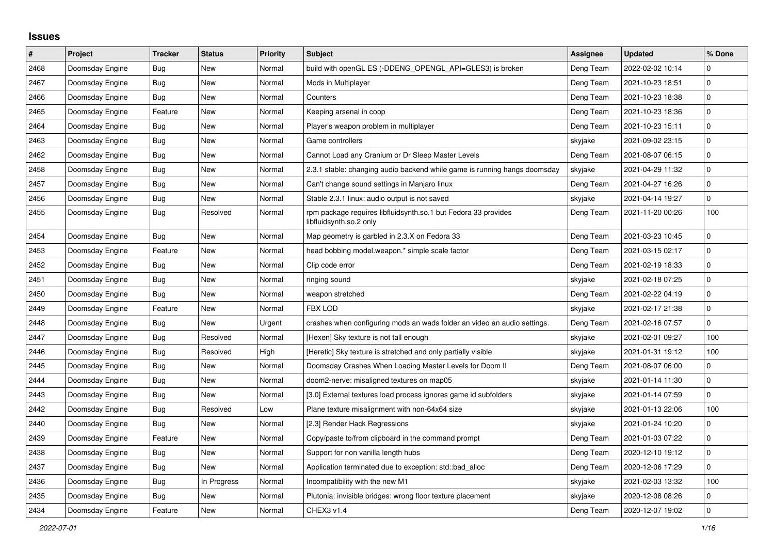## **Issues**

| $\sharp$ | <b>Project</b>  | <b>Tracker</b> | <b>Status</b> | <b>Priority</b> | <b>Subject</b>                                                                            | <b>Assignee</b> | <b>Updated</b>   | % Done       |
|----------|-----------------|----------------|---------------|-----------------|-------------------------------------------------------------------------------------------|-----------------|------------------|--------------|
| 2468     | Doomsday Engine | <b>Bug</b>     | <b>New</b>    | Normal          | build with openGL ES (-DDENG_OPENGL_API=GLES3) is broken                                  | Deng Team       | 2022-02-02 10:14 | $\Omega$     |
| 2467     | Doomsday Engine | <b>Bug</b>     | <b>New</b>    | Normal          | Mods in Multiplayer                                                                       | Deng Team       | 2021-10-23 18:51 | $\mathbf{0}$ |
| 2466     | Doomsday Engine | Bug            | <b>New</b>    | Normal          | Counters                                                                                  | Deng Team       | 2021-10-23 18:38 | $\pmb{0}$    |
| 2465     | Doomsday Engine | Feature        | <b>New</b>    | Normal          | Keeping arsenal in coop                                                                   | Deng Team       | 2021-10-23 18:36 | $\pmb{0}$    |
| 2464     | Doomsday Engine | Bug            | <b>New</b>    | Normal          | Player's weapon problem in multiplayer                                                    | Deng Team       | 2021-10-23 15:11 | $\pmb{0}$    |
| 2463     | Doomsday Engine | Bug            | <b>New</b>    | Normal          | Game controllers                                                                          | skyjake         | 2021-09-02 23:15 | 0            |
| 2462     | Doomsday Engine | Bug            | <b>New</b>    | Normal          | Cannot Load any Cranium or Dr Sleep Master Levels                                         | Deng Team       | 2021-08-07 06:15 | 0            |
| 2458     | Doomsday Engine | Bug            | <b>New</b>    | Normal          | 2.3.1 stable: changing audio backend while game is running hangs doomsday                 | skyjake         | 2021-04-29 11:32 | $\pmb{0}$    |
| 2457     | Doomsday Engine | Bug            | <b>New</b>    | Normal          | Can't change sound settings in Manjaro linux                                              | Deng Team       | 2021-04-27 16:26 | $\pmb{0}$    |
| 2456     | Doomsday Engine | Bug            | New           | Normal          | Stable 2.3.1 linux: audio output is not saved                                             | skyjake         | 2021-04-14 19:27 | $\pmb{0}$    |
| 2455     | Doomsday Engine | Bug            | Resolved      | Normal          | rpm package requires libfluidsynth.so.1 but Fedora 33 provides<br>libfluidsynth.so.2 only | Deng Team       | 2021-11-20 00:26 | 100          |
| 2454     | Doomsday Engine | <b>Bug</b>     | New           | Normal          | Map geometry is garbled in 2.3.X on Fedora 33                                             | Deng Team       | 2021-03-23 10:45 | $\pmb{0}$    |
| 2453     | Doomsday Engine | Feature        | New           | Normal          | head bobbing model.weapon.* simple scale factor                                           | Deng Team       | 2021-03-15 02:17 | $\pmb{0}$    |
| 2452     | Doomsday Engine | Bug            | New           | Normal          | Clip code error                                                                           | Deng Team       | 2021-02-19 18:33 | $\pmb{0}$    |
| 2451     | Doomsday Engine | <b>Bug</b>     | New           | Normal          | ringing sound                                                                             | skyjake         | 2021-02-18 07:25 | $\pmb{0}$    |
| 2450     | Doomsday Engine | <b>Bug</b>     | New           | Normal          | weapon stretched                                                                          | Deng Team       | 2021-02-22 04:19 | 0            |
| 2449     | Doomsday Engine | Feature        | New           | Normal          | FBX LOD                                                                                   | skyjake         | 2021-02-17 21:38 | $\pmb{0}$    |
| 2448     | Doomsday Engine | Bug            | New           | Urgent          | crashes when configuring mods an wads folder an video an audio settings.                  | Deng Team       | 2021-02-16 07:57 | $\pmb{0}$    |
| 2447     | Doomsday Engine | Bug            | Resolved      | Normal          | [Hexen] Sky texture is not tall enough                                                    | skyjake         | 2021-02-01 09:27 | 100          |
| 2446     | Doomsday Engine | Bug            | Resolved      | High            | [Heretic] Sky texture is stretched and only partially visible                             | skyjake         | 2021-01-31 19:12 | 100          |
| 2445     | Doomsday Engine | Bug            | New           | Normal          | Doomsday Crashes When Loading Master Levels for Doom II                                   | Deng Team       | 2021-08-07 06:00 | $\pmb{0}$    |
| 2444     | Doomsday Engine | Bug            | New           | Normal          | doom2-nerve: misaligned textures on map05                                                 | skyjake         | 2021-01-14 11:30 | $\pmb{0}$    |
| 2443     | Doomsday Engine | <b>Bug</b>     | New           | Normal          | [3.0] External textures load process ignores game id subfolders                           | skyjake         | 2021-01-14 07:59 | $\pmb{0}$    |
| 2442     | Doomsday Engine | Bug            | Resolved      | Low             | Plane texture misalignment with non-64x64 size                                            | skyjake         | 2021-01-13 22:06 | 100          |
| 2440     | Doomsday Engine | Bug            | New           | Normal          | [2.3] Render Hack Regressions                                                             | skyjake         | 2021-01-24 10:20 | 0            |
| 2439     | Doomsday Engine | Feature        | New           | Normal          | Copy/paste to/from clipboard in the command prompt                                        | Deng Team       | 2021-01-03 07:22 | 0            |
| 2438     | Doomsday Engine | Bug            | <b>New</b>    | Normal          | Support for non vanilla length hubs                                                       | Deng Team       | 2020-12-10 19:12 | $\pmb{0}$    |
| 2437     | Doomsday Engine | Bug            | New           | Normal          | Application terminated due to exception: std::bad_alloc                                   | Deng Team       | 2020-12-06 17:29 | $\pmb{0}$    |
| 2436     | Doomsday Engine | Bug            | In Progress   | Normal          | Incompatibility with the new M1                                                           | skyjake         | 2021-02-03 13:32 | 100          |
| 2435     | Doomsday Engine | <b>Bug</b>     | <b>New</b>    | Normal          | Plutonia: invisible bridges: wrong floor texture placement                                | skyjake         | 2020-12-08 08:26 | $\pmb{0}$    |
| 2434     | Doomsday Engine | Feature        | New           | Normal          | CHEX3 v1.4                                                                                | Deng Team       | 2020-12-07 19:02 | $\pmb{0}$    |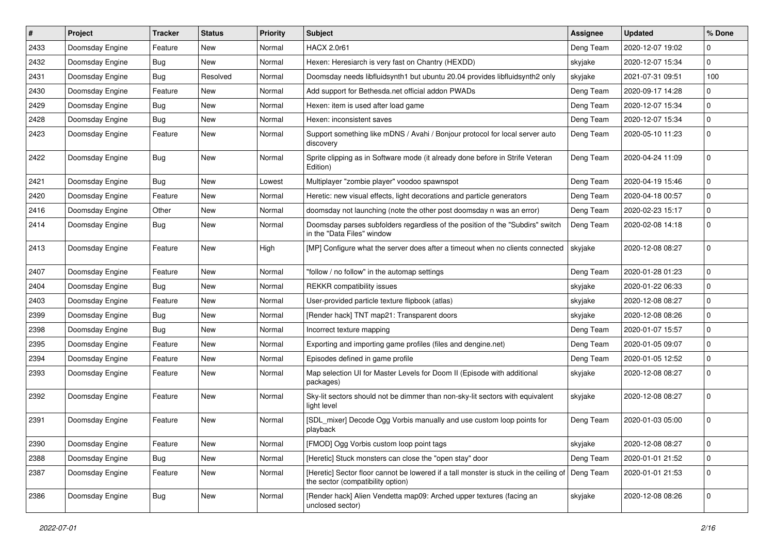| #    | Project         | <b>Tracker</b> | <b>Status</b> | <b>Priority</b> | <b>Subject</b>                                                                                                             | <b>Assignee</b> | <b>Updated</b>   | % Done      |
|------|-----------------|----------------|---------------|-----------------|----------------------------------------------------------------------------------------------------------------------------|-----------------|------------------|-------------|
| 2433 | Doomsday Engine | Feature        | New           | Normal          | <b>HACX 2.0r61</b>                                                                                                         | Deng Team       | 2020-12-07 19:02 | 0           |
| 2432 | Doomsday Engine | Bug            | New           | Normal          | Hexen: Heresiarch is very fast on Chantry (HEXDD)                                                                          | skyjake         | 2020-12-07 15:34 | 0           |
| 2431 | Doomsday Engine | Bug            | Resolved      | Normal          | Doomsday needs libfluidsynth1 but ubuntu 20.04 provides libfluidsynth2 only                                                | skyjake         | 2021-07-31 09:51 | 100         |
| 2430 | Doomsday Engine | Feature        | New           | Normal          | Add support for Bethesda.net official addon PWADs                                                                          | Deng Team       | 2020-09-17 14:28 | 0           |
| 2429 | Doomsday Engine | Bug            | New           | Normal          | Hexen: item is used after load game                                                                                        | Deng Team       | 2020-12-07 15:34 | 0           |
| 2428 | Doomsday Engine | Bug            | New           | Normal          | Hexen: inconsistent saves                                                                                                  | Deng Team       | 2020-12-07 15:34 | $\mathbf 0$ |
| 2423 | Doomsday Engine | Feature        | <b>New</b>    | Normal          | Support something like mDNS / Avahi / Bonjour protocol for local server auto<br>discovery                                  | Deng Team       | 2020-05-10 11:23 | $\mathbf 0$ |
| 2422 | Doomsday Engine | Bug            | New           | Normal          | Sprite clipping as in Software mode (it already done before in Strife Veteran<br>Edition)                                  | Deng Team       | 2020-04-24 11:09 | 0           |
| 2421 | Doomsday Engine | Bug            | New           | Lowest          | Multiplayer "zombie player" voodoo spawnspot                                                                               | Deng Team       | 2020-04-19 15:46 | 0           |
| 2420 | Doomsday Engine | Feature        | New           | Normal          | Heretic: new visual effects, light decorations and particle generators                                                     | Deng Team       | 2020-04-18 00:57 | $\mathbf 0$ |
| 2416 | Doomsday Engine | Other          | <b>New</b>    | Normal          | doomsday not launching (note the other post doomsday n was an error)                                                       | Deng Team       | 2020-02-23 15:17 | 0           |
| 2414 | Doomsday Engine | Bug            | New           | Normal          | Doomsday parses subfolders regardless of the position of the "Subdirs" switch<br>in the "Data Files" window                | Deng Team       | 2020-02-08 14:18 | $\mathbf 0$ |
| 2413 | Doomsday Engine | Feature        | New           | High            | [MP] Configure what the server does after a timeout when no clients connected                                              | skyjake         | 2020-12-08 08:27 | 0           |
| 2407 | Doomsday Engine | Feature        | New           | Normal          | "follow / no follow" in the automap settings                                                                               | Deng Team       | 2020-01-28 01:23 | 0           |
| 2404 | Doomsday Engine | Bug            | New           | Normal          | <b>REKKR</b> compatibility issues                                                                                          | skyjake         | 2020-01-22 06:33 | 0           |
| 2403 | Doomsday Engine | Feature        | New           | Normal          | User-provided particle texture flipbook (atlas)                                                                            | skyjake         | 2020-12-08 08:27 | 0           |
| 2399 | Doomsday Engine | Bug            | New           | Normal          | [Render hack] TNT map21: Transparent doors                                                                                 | skyjake         | 2020-12-08 08:26 | 0           |
| 2398 | Doomsday Engine | <b>Bug</b>     | New           | Normal          | Incorrect texture mapping                                                                                                  | Deng Team       | 2020-01-07 15:57 | 0           |
| 2395 | Doomsday Engine | Feature        | <b>New</b>    | Normal          | Exporting and importing game profiles (files and dengine.net)                                                              | Deng Team       | 2020-01-05 09:07 | $\mathbf 0$ |
| 2394 | Doomsday Engine | Feature        | New           | Normal          | Episodes defined in game profile                                                                                           | Deng Team       | 2020-01-05 12:52 | 0           |
| 2393 | Doomsday Engine | Feature        | New           | Normal          | Map selection UI for Master Levels for Doom II (Episode with additional<br>packages)                                       | skyjake         | 2020-12-08 08:27 | $\Omega$    |
| 2392 | Doomsday Engine | Feature        | New           | Normal          | Sky-lit sectors should not be dimmer than non-sky-lit sectors with equivalent<br>light level                               | skyjake         | 2020-12-08 08:27 | $\Omega$    |
| 2391 | Doomsday Engine | Feature        | New           | Normal          | [SDL_mixer] Decode Ogg Vorbis manually and use custom loop points for<br>playback                                          | Deng Team       | 2020-01-03 05:00 | 0           |
| 2390 | Doomsday Engine | Feature        | New           | Normal          | [FMOD] Ogg Vorbis custom loop point tags                                                                                   | skyjake         | 2020-12-08 08:27 | $\mathbf 0$ |
| 2388 | Doomsday Engine | <b>Bug</b>     | New           | Normal          | [Heretic] Stuck monsters can close the "open stay" door                                                                    | Deng Team       | 2020-01-01 21:52 | 0           |
| 2387 | Doomsday Engine | Feature        | New           | Normal          | [Heretic] Sector floor cannot be lowered if a tall monster is stuck in the ceiling of<br>the sector (compatibility option) | Deng Team       | 2020-01-01 21:53 | $\pmb{0}$   |
| 2386 | Doomsday Engine | <b>Bug</b>     | New           | Normal          | [Render hack] Alien Vendetta map09: Arched upper textures (facing an<br>unclosed sector)                                   | skyjake         | 2020-12-08 08:26 | 0           |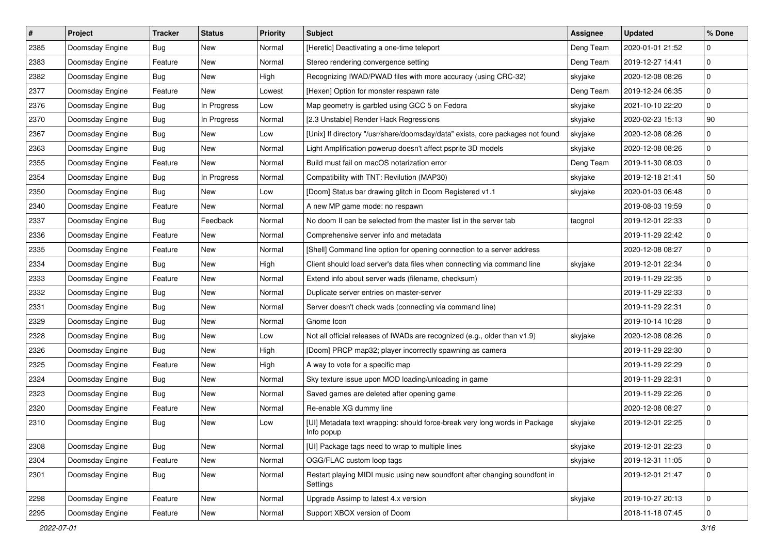| $\vert$ # | Project         | <b>Tracker</b> | <b>Status</b> | <b>Priority</b> | <b>Subject</b>                                                                           | Assignee  | <b>Updated</b>   | % Done      |
|-----------|-----------------|----------------|---------------|-----------------|------------------------------------------------------------------------------------------|-----------|------------------|-------------|
| 2385      | Doomsday Engine | <b>Bug</b>     | <b>New</b>    | Normal          | [Heretic] Deactivating a one-time teleport                                               | Deng Team | 2020-01-01 21:52 | 0           |
| 2383      | Doomsday Engine | Feature        | New           | Normal          | Stereo rendering convergence setting                                                     | Deng Team | 2019-12-27 14:41 | $\mathbf 0$ |
| 2382      | Doomsday Engine | <b>Bug</b>     | New           | High            | Recognizing IWAD/PWAD files with more accuracy (using CRC-32)                            | skyjake   | 2020-12-08 08:26 | $\mathbf 0$ |
| 2377      | Doomsday Engine | Feature        | New           | Lowest          | [Hexen] Option for monster respawn rate                                                  | Deng Team | 2019-12-24 06:35 | $\mathbf 0$ |
| 2376      | Doomsday Engine | Bug            | In Progress   | Low             | Map geometry is garbled using GCC 5 on Fedora                                            | skyjake   | 2021-10-10 22:20 | $\mathbf 0$ |
| 2370      | Doomsday Engine | <b>Bug</b>     | In Progress   | Normal          | [2.3 Unstable] Render Hack Regressions                                                   | skyjake   | 2020-02-23 15:13 | 90          |
| 2367      | Doomsday Engine | <b>Bug</b>     | <b>New</b>    | Low             | [Unix] If directory "/usr/share/doomsday/data" exists, core packages not found           | skyjake   | 2020-12-08 08:26 | $\mathbf 0$ |
| 2363      | Doomsday Engine | Bug            | New           | Normal          | Light Amplification powerup doesn't affect psprite 3D models                             | skyjake   | 2020-12-08 08:26 | $\mathbf 0$ |
| 2355      | Doomsday Engine | Feature        | New           | Normal          | Build must fail on macOS notarization error                                              | Deng Team | 2019-11-30 08:03 | $\mathbf 0$ |
| 2354      | Doomsday Engine | Bug            | In Progress   | Normal          | Compatibility with TNT: Revilution (MAP30)                                               | skyjake   | 2019-12-18 21:41 | 50          |
| 2350      | Doomsday Engine | Bug            | New           | Low             | [Doom] Status bar drawing glitch in Doom Registered v1.1                                 | skyjake   | 2020-01-03 06:48 | 0           |
| 2340      | Doomsday Engine | Feature        | New           | Normal          | A new MP game mode: no respawn                                                           |           | 2019-08-03 19:59 | $\mathbf 0$ |
| 2337      | Doomsday Engine | Bug            | Feedback      | Normal          | No doom II can be selected from the master list in the server tab                        | tacgnol   | 2019-12-01 22:33 | 0           |
| 2336      | Doomsday Engine | Feature        | New           | Normal          | Comprehensive server info and metadata                                                   |           | 2019-11-29 22:42 | $\mathbf 0$ |
| 2335      | Doomsday Engine | Feature        | New           | Normal          | [Shell] Command line option for opening connection to a server address                   |           | 2020-12-08 08:27 | $\mathbf 0$ |
| 2334      | Doomsday Engine | Bug            | New           | High            | Client should load server's data files when connecting via command line                  | skyjake   | 2019-12-01 22:34 | $\mathbf 0$ |
| 2333      | Doomsday Engine | Feature        | New           | Normal          | Extend info about server wads (filename, checksum)                                       |           | 2019-11-29 22:35 | $\mathbf 0$ |
| 2332      | Doomsday Engine | Bug            | New           | Normal          | Duplicate server entries on master-server                                                |           | 2019-11-29 22:33 | $\mathbf 0$ |
| 2331      | Doomsday Engine | Bug            | New           | Normal          | Server doesn't check wads (connecting via command line)                                  |           | 2019-11-29 22:31 | $\mathbf 0$ |
| 2329      | Doomsday Engine | <b>Bug</b>     | <b>New</b>    | Normal          | Gnome Icon                                                                               |           | 2019-10-14 10:28 | $\mathbf 0$ |
| 2328      | Doomsday Engine | Bug            | New           | Low             | Not all official releases of IWADs are recognized (e.g., older than v1.9)                | skyjake   | 2020-12-08 08:26 | $\mathbf 0$ |
| 2326      | Doomsday Engine | Bug            | New           | High            | [Doom] PRCP map32; player incorrectly spawning as camera                                 |           | 2019-11-29 22:30 | $\mathbf 0$ |
| 2325      | Doomsday Engine | Feature        | New           | High            | A way to vote for a specific map                                                         |           | 2019-11-29 22:29 | $\mathbf 0$ |
| 2324      | Doomsday Engine | Bug            | New           | Normal          | Sky texture issue upon MOD loading/unloading in game                                     |           | 2019-11-29 22:31 | $\mathbf 0$ |
| 2323      | Doomsday Engine | <b>Bug</b>     | <b>New</b>    | Normal          | Saved games are deleted after opening game                                               |           | 2019-11-29 22:26 | $\mathbf 0$ |
| 2320      | Doomsday Engine | Feature        | New           | Normal          | Re-enable XG dummy line                                                                  |           | 2020-12-08 08:27 | 0           |
| 2310      | Doomsday Engine | Bug            | New           | Low             | [UI] Metadata text wrapping: should force-break very long words in Package<br>Info popup | skyjake   | 2019-12-01 22:25 | $\mathbf 0$ |
| 2308      | Doomsday Engine | Bug            | New           | Normal          | [UI] Package tags need to wrap to multiple lines                                         | skyjake   | 2019-12-01 22:23 | 0           |
| 2304      | Doomsday Engine | Feature        | New           | Normal          | OGG/FLAC custom loop tags                                                                | skyjake   | 2019-12-31 11:05 | $\pmb{0}$   |
| 2301      | Doomsday Engine | <b>Bug</b>     | New           | Normal          | Restart playing MIDI music using new soundfont after changing soundfont in<br>Settings   |           | 2019-12-01 21:47 | $\pmb{0}$   |
| 2298      | Doomsday Engine | Feature        | New           | Normal          | Upgrade Assimp to latest 4.x version                                                     | skyjake   | 2019-10-27 20:13 | $\mathbf 0$ |
| 2295      | Doomsday Engine | Feature        | New           | Normal          | Support XBOX version of Doom                                                             |           | 2018-11-18 07:45 | $\pmb{0}$   |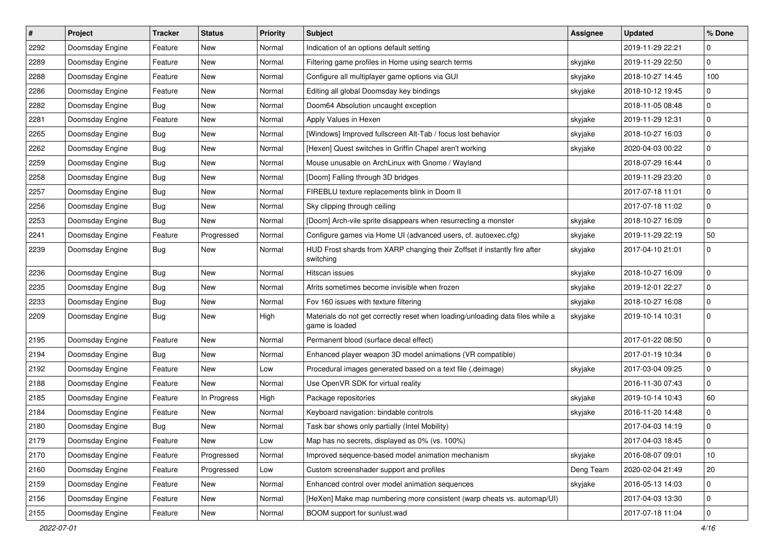| $\vert$ # | Project         | <b>Tracker</b> | <b>Status</b> | <b>Priority</b> | <b>Subject</b>                                                                                   | <b>Assignee</b> | <b>Updated</b>   | % Done      |
|-----------|-----------------|----------------|---------------|-----------------|--------------------------------------------------------------------------------------------------|-----------------|------------------|-------------|
| 2292      | Doomsday Engine | Feature        | New           | Normal          | Indication of an options default setting                                                         |                 | 2019-11-29 22:21 | 0           |
| 2289      | Doomsday Engine | Feature        | <b>New</b>    | Normal          | Filtering game profiles in Home using search terms                                               | skyjake         | 2019-11-29 22:50 | $\mathbf 0$ |
| 2288      | Doomsday Engine | Feature        | New           | Normal          | Configure all multiplayer game options via GUI                                                   | skyjake         | 2018-10-27 14:45 | 100         |
| 2286      | Doomsday Engine | Feature        | New           | Normal          | Editing all global Doomsday key bindings                                                         | skyjake         | 2018-10-12 19:45 | 0           |
| 2282      | Doomsday Engine | <b>Bug</b>     | <b>New</b>    | Normal          | Doom64 Absolution uncaught exception                                                             |                 | 2018-11-05 08:48 | 0           |
| 2281      | Doomsday Engine | Feature        | New           | Normal          | Apply Values in Hexen                                                                            | skyjake         | 2019-11-29 12:31 | $\mathbf 0$ |
| 2265      | Doomsday Engine | <b>Bug</b>     | <b>New</b>    | Normal          | [Windows] Improved fullscreen Alt-Tab / focus lost behavior                                      | skyjake         | 2018-10-27 16:03 | $\mathbf 0$ |
| 2262      | Doomsday Engine | Bug            | New           | Normal          | [Hexen] Quest switches in Griffin Chapel aren't working                                          | skyjake         | 2020-04-03 00:22 | 0           |
| 2259      | Doomsday Engine | Bug            | New           | Normal          | Mouse unusable on ArchLinux with Gnome / Wayland                                                 |                 | 2018-07-29 16:44 | $\mathbf 0$ |
| 2258      | Doomsday Engine | Bug            | <b>New</b>    | Normal          | [Doom] Falling through 3D bridges                                                                |                 | 2019-11-29 23:20 | $\mathbf 0$ |
| 2257      | Doomsday Engine | Bug            | New           | Normal          | FIREBLU texture replacements blink in Doom II                                                    |                 | 2017-07-18 11:01 | $\mathbf 0$ |
| 2256      | Doomsday Engine | Bug            | <b>New</b>    | Normal          | Sky clipping through ceiling                                                                     |                 | 2017-07-18 11:02 | 0           |
| 2253      | Doomsday Engine | Bug            | New           | Normal          | [Doom] Arch-vile sprite disappears when resurrecting a monster                                   | skyjake         | 2018-10-27 16:09 | 0           |
| 2241      | Doomsday Engine | Feature        | Progressed    | Normal          | Configure games via Home UI (advanced users, cf. autoexec.cfg)                                   | skyjake         | 2019-11-29 22:19 | 50          |
| 2239      | Doomsday Engine | <b>Bug</b>     | <b>New</b>    | Normal          | HUD Frost shards from XARP changing their Zoffset if instantly fire after<br>switching           | skyjake         | 2017-04-10 21:01 | $\mathbf 0$ |
| 2236      | Doomsday Engine | Bug            | <b>New</b>    | Normal          | Hitscan issues                                                                                   | skyjake         | 2018-10-27 16:09 | $\mathbf 0$ |
| 2235      | Doomsday Engine | Bug            | <b>New</b>    | Normal          | Afrits sometimes become invisible when frozen                                                    | skyjake         | 2019-12-01 22:27 | 0           |
| 2233      | Doomsday Engine | Bug            | New           | Normal          | Fov 160 issues with texture filtering                                                            | skyjake         | 2018-10-27 16:08 | $\mathbf 0$ |
| 2209      | Doomsday Engine | Bug            | <b>New</b>    | High            | Materials do not get correctly reset when loading/unloading data files while a<br>game is loaded | skyjake         | 2019-10-14 10:31 | $\Omega$    |
| 2195      | Doomsday Engine | Feature        | <b>New</b>    | Normal          | Permanent blood (surface decal effect)                                                           |                 | 2017-01-22 08:50 | $\mathbf 0$ |
| 2194      | Doomsday Engine | Bug            | <b>New</b>    | Normal          | Enhanced player weapon 3D model animations (VR compatible)                                       |                 | 2017-01-19 10:34 | 0           |
| 2192      | Doomsday Engine | Feature        | New           | Low             | Procedural images generated based on a text file (.deimage)                                      | skyjake         | 2017-03-04 09:25 | 0           |
| 2188      | Doomsday Engine | Feature        | New           | Normal          | Use OpenVR SDK for virtual reality                                                               |                 | 2016-11-30 07:43 | 0           |
| 2185      | Doomsday Engine | Feature        | In Progress   | High            | Package repositories                                                                             | skyjake         | 2019-10-14 10:43 | 60          |
| 2184      | Doomsday Engine | Feature        | New           | Normal          | Keyboard navigation: bindable controls                                                           | skyjake         | 2016-11-20 14:48 | $\mathbf 0$ |
| 2180      | Doomsday Engine | <b>Bug</b>     | New           | Normal          | Task bar shows only partially (Intel Mobility)                                                   |                 | 2017-04-03 14:19 | $\mathbf 0$ |
| 2179      | Doomsday Engine | Feature        | New           | Low             | Map has no secrets, displayed as 0% (vs. 100%)                                                   |                 | 2017-04-03 18:45 | 0           |
| 2170      | Doomsday Engine | Feature        | Progressed    | Normal          | Improved sequence-based model animation mechanism                                                | skyjake         | 2016-08-07 09:01 | $10$        |
| 2160      | Doomsday Engine | Feature        | Progressed    | Low             | Custom screenshader support and profiles                                                         | Deng Team       | 2020-02-04 21:49 | 20          |
| 2159      | Doomsday Engine | Feature        | New           | Normal          | Enhanced control over model animation sequences                                                  | skyjake         | 2016-05-13 14:03 | 0           |
| 2156      | Doomsday Engine | Feature        | New           | Normal          | [HeXen] Make map numbering more consistent (warp cheats vs. automap/UI)                          |                 | 2017-04-03 13:30 | $\pmb{0}$   |
| 2155      | Doomsday Engine | Feature        | New           | Normal          | BOOM support for sunlust.wad                                                                     |                 | 2017-07-18 11:04 | 0           |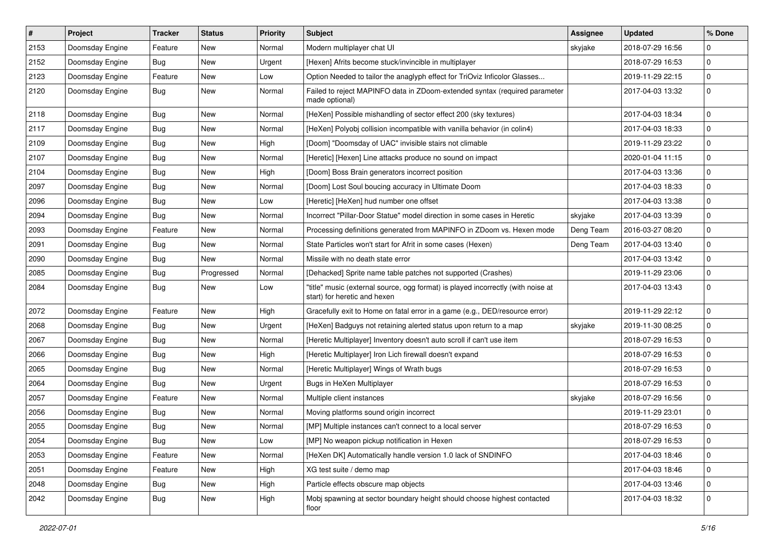| $\sharp$ | Project         | <b>Tracker</b> | <b>Status</b> | <b>Priority</b> | <b>Subject</b>                                                                                                   | <b>Assignee</b> | <b>Updated</b>   | % Done      |
|----------|-----------------|----------------|---------------|-----------------|------------------------------------------------------------------------------------------------------------------|-----------------|------------------|-------------|
| 2153     | Doomsday Engine | Feature        | <b>New</b>    | Normal          | Modern multiplayer chat UI                                                                                       | skyjake         | 2018-07-29 16:56 | 0           |
| 2152     | Doomsday Engine | Bug            | New           | Urgent          | [Hexen] Afrits become stuck/invincible in multiplayer                                                            |                 | 2018-07-29 16:53 | $\pmb{0}$   |
| 2123     | Doomsday Engine | Feature        | New           | Low             | Option Needed to tailor the anaglyph effect for TriOviz Inficolor Glasses                                        |                 | 2019-11-29 22:15 | 0           |
| 2120     | Doomsday Engine | Bug            | New           | Normal          | Failed to reject MAPINFO data in ZDoom-extended syntax (required parameter<br>made optional)                     |                 | 2017-04-03 13:32 | $\pmb{0}$   |
| 2118     | Doomsday Engine | <b>Bug</b>     | New           | Normal          | [HeXen] Possible mishandling of sector effect 200 (sky textures)                                                 |                 | 2017-04-03 18:34 | 0           |
| 2117     | Doomsday Engine | Bug            | New           | Normal          | [HeXen] Polyobj collision incompatible with vanilla behavior (in colin4)                                         |                 | 2017-04-03 18:33 | $\pmb{0}$   |
| 2109     | Doomsday Engine | Bug            | New           | High            | [Doom] "Doomsday of UAC" invisible stairs not climable                                                           |                 | 2019-11-29 23:22 | 0           |
| 2107     | Doomsday Engine | Bug            | New           | Normal          | [Heretic] [Hexen] Line attacks produce no sound on impact                                                        |                 | 2020-01-04 11:15 | $\pmb{0}$   |
| 2104     | Doomsday Engine | Bug            | New           | High            | [Doom] Boss Brain generators incorrect position                                                                  |                 | 2017-04-03 13:36 | $\pmb{0}$   |
| 2097     | Doomsday Engine | Bug            | New           | Normal          | [Doom] Lost Soul boucing accuracy in Ultimate Doom                                                               |                 | 2017-04-03 18:33 | 0           |
| 2096     | Doomsday Engine | Bug            | New           | Low             | [Heretic] [HeXen] hud number one offset                                                                          |                 | 2017-04-03 13:38 | $\pmb{0}$   |
| 2094     | Doomsday Engine | Bug            | New           | Normal          | Incorrect "Pillar-Door Statue" model direction in some cases in Heretic                                          | skyjake         | 2017-04-03 13:39 | $\pmb{0}$   |
| 2093     | Doomsday Engine | Feature        | New           | Normal          | Processing definitions generated from MAPINFO in ZDoom vs. Hexen mode                                            | Deng Team       | 2016-03-27 08:20 | 0           |
| 2091     | Doomsday Engine | Bug            | New           | Normal          | State Particles won't start for Afrit in some cases (Hexen)                                                      | Deng Team       | 2017-04-03 13:40 | $\pmb{0}$   |
| 2090     | Doomsday Engine | Bug            | New           | Normal          | Missile with no death state error                                                                                |                 | 2017-04-03 13:42 | 0           |
| 2085     | Doomsday Engine | Bug            | Progressed    | Normal          | [Dehacked] Sprite name table patches not supported (Crashes)                                                     |                 | 2019-11-29 23:06 | $\pmb{0}$   |
| 2084     | Doomsday Engine | Bug            | New           | Low             | "title" music (external source, ogg format) is played incorrectly (with noise at<br>start) for heretic and hexen |                 | 2017-04-03 13:43 | $\mathbf 0$ |
| 2072     | Doomsday Engine | Feature        | <b>New</b>    | High            | Gracefully exit to Home on fatal error in a game (e.g., DED/resource error)                                      |                 | 2019-11-29 22:12 | $\pmb{0}$   |
| 2068     | Doomsday Engine | Bug            | New           | Urgent          | [HeXen] Badguys not retaining alerted status upon return to a map                                                | skyjake         | 2019-11-30 08:25 | 0           |
| 2067     | Doomsday Engine | Bug            | New           | Normal          | [Heretic Multiplayer] Inventory doesn't auto scroll if can't use item                                            |                 | 2018-07-29 16:53 | $\mathbf 0$ |
| 2066     | Doomsday Engine | Bug            | New           | High            | [Heretic Multiplayer] Iron Lich firewall doesn't expand                                                          |                 | 2018-07-29 16:53 | 0           |
| 2065     | Doomsday Engine | Bug            | New           | Normal          | [Heretic Multiplayer] Wings of Wrath bugs                                                                        |                 | 2018-07-29 16:53 | 0           |
| 2064     | Doomsday Engine | Bug            | New           | Urgent          | Bugs in HeXen Multiplayer                                                                                        |                 | 2018-07-29 16:53 | $\pmb{0}$   |
| 2057     | Doomsday Engine | Feature        | New           | Normal          | Multiple client instances                                                                                        | skyjake         | 2018-07-29 16:56 | 0           |
| 2056     | Doomsday Engine | Bug            | New           | Normal          | Moving platforms sound origin incorrect                                                                          |                 | 2019-11-29 23:01 | $\pmb{0}$   |
| 2055     | Doomsday Engine | Bug            | New           | Normal          | [MP] Multiple instances can't connect to a local server                                                          |                 | 2018-07-29 16:53 | $\mathbf 0$ |
| 2054     | Doomsday Engine | Bug            | New           | Low             | [MP] No weapon pickup notification in Hexen                                                                      |                 | 2018-07-29 16:53 | 0           |
| 2053     | Doomsday Engine | Feature        | New           | Normal          | [HeXen DK] Automatically handle version 1.0 lack of SNDINFO                                                      |                 | 2017-04-03 18:46 | $\pmb{0}$   |
| 2051     | Doomsday Engine | Feature        | New           | High            | XG test suite / demo map                                                                                         |                 | 2017-04-03 18:46 | $\mathbf 0$ |
| 2048     | Doomsday Engine | Bug            | New           | High            | Particle effects obscure map objects                                                                             |                 | 2017-04-03 13:46 | 0           |
| 2042     | Doomsday Engine | Bug            | New           | High            | Mobj spawning at sector boundary height should choose highest contacted<br>floor                                 |                 | 2017-04-03 18:32 | $\pmb{0}$   |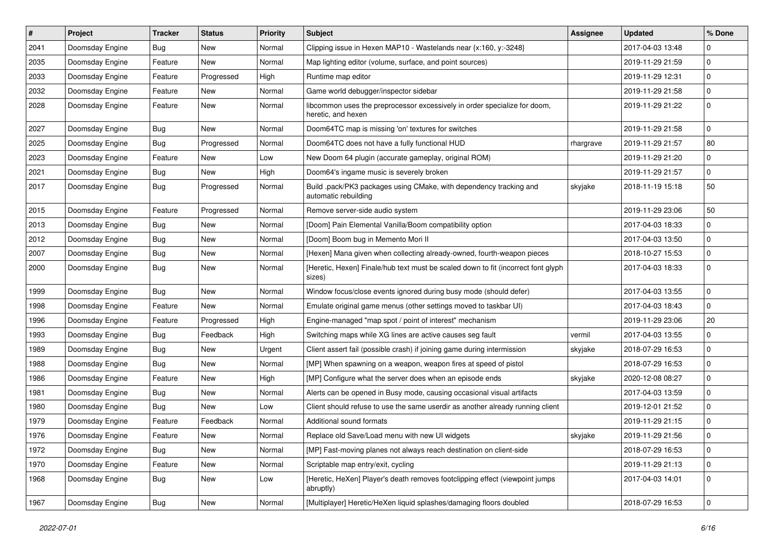| $\sharp$ | <b>Project</b>  | <b>Tracker</b> | <b>Status</b> | <b>Priority</b> | <b>Subject</b>                                                                                  | <b>Assignee</b> | <b>Updated</b>   | % Done      |
|----------|-----------------|----------------|---------------|-----------------|-------------------------------------------------------------------------------------------------|-----------------|------------------|-------------|
| 2041     | Doomsday Engine | Bug            | New           | Normal          | Clipping issue in Hexen MAP10 - Wastelands near {x:160, y:-3248}                                |                 | 2017-04-03 13:48 | $\Omega$    |
| 2035     | Doomsday Engine | Feature        | New           | Normal          | Map lighting editor (volume, surface, and point sources)                                        |                 | 2019-11-29 21:59 | $\mathbf 0$ |
| 2033     | Doomsday Engine | Feature        | Progressed    | High            | Runtime map editor                                                                              |                 | 2019-11-29 12:31 | $\mathbf 0$ |
| 2032     | Doomsday Engine | Feature        | New           | Normal          | Game world debugger/inspector sidebar                                                           |                 | 2019-11-29 21:58 | $\mathbf 0$ |
| 2028     | Doomsday Engine | Feature        | New           | Normal          | libcommon uses the preprocessor excessively in order specialize for doom,<br>heretic, and hexen |                 | 2019-11-29 21:22 | 0           |
| 2027     | Doomsday Engine | Bug            | <b>New</b>    | Normal          | Doom64TC map is missing 'on' textures for switches                                              |                 | 2019-11-29 21:58 | $\mathbf 0$ |
| 2025     | Doomsday Engine | Bug            | Progressed    | Normal          | Doom64TC does not have a fully functional HUD                                                   | rhargrave       | 2019-11-29 21:57 | 80          |
| 2023     | Doomsday Engine | Feature        | New           | Low             | New Doom 64 plugin (accurate gameplay, original ROM)                                            |                 | 2019-11-29 21:20 | $\mathbf 0$ |
| 2021     | Doomsday Engine | Bug            | New           | High            | Doom64's ingame music is severely broken                                                        |                 | 2019-11-29 21:57 | 0           |
| 2017     | Doomsday Engine | Bug            | Progressed    | Normal          | Build .pack/PK3 packages using CMake, with dependency tracking and<br>automatic rebuilding      | skyjake         | 2018-11-19 15:18 | 50          |
| 2015     | Doomsday Engine | Feature        | Progressed    | Normal          | Remove server-side audio system                                                                 |                 | 2019-11-29 23:06 | 50          |
| 2013     | Doomsday Engine | Bug            | New           | Normal          | [Doom] Pain Elemental Vanilla/Boom compatibility option                                         |                 | 2017-04-03 18:33 | $\mathbf 0$ |
| 2012     | Doomsday Engine | <b>Bug</b>     | <b>New</b>    | Normal          | [Doom] Boom bug in Memento Mori II                                                              |                 | 2017-04-03 13:50 | $\mathbf 0$ |
| 2007     | Doomsday Engine | Bug            | New           | Normal          | [Hexen] Mana given when collecting already-owned, fourth-weapon pieces                          |                 | 2018-10-27 15:53 | 0           |
| 2000     | Doomsday Engine | Bug            | New           | Normal          | [Heretic, Hexen] Finale/hub text must be scaled down to fit (incorrect font glyph<br>sizes)     |                 | 2017-04-03 18:33 | $\mathbf 0$ |
| 1999     | Doomsday Engine | <b>Bug</b>     | New           | Normal          | Window focus/close events ignored during busy mode (should defer)                               |                 | 2017-04-03 13:55 | $\mathbf 0$ |
| 1998     | Doomsday Engine | Feature        | New           | Normal          | Emulate original game menus (other settings moved to taskbar UI)                                |                 | 2017-04-03 18:43 | $\mathbf 0$ |
| 1996     | Doomsday Engine | Feature        | Progressed    | High            | Engine-managed "map spot / point of interest" mechanism                                         |                 | 2019-11-29 23:06 | 20          |
| 1993     | Doomsday Engine | Bug            | Feedback      | High            | Switching maps while XG lines are active causes seg fault                                       | vermil          | 2017-04-03 13:55 | $\mathbf 0$ |
| 1989     | Doomsday Engine | <b>Bug</b>     | New           | Urgent          | Client assert fail (possible crash) if joining game during intermission                         | skyjake         | 2018-07-29 16:53 | $\mathbf 0$ |
| 1988     | Doomsday Engine | Bug            | New           | Normal          | [MP] When spawning on a weapon, weapon fires at speed of pistol                                 |                 | 2018-07-29 16:53 | $\mathbf 0$ |
| 1986     | Doomsday Engine | Feature        | New           | High            | [MP] Configure what the server does when an episode ends                                        | skyjake         | 2020-12-08 08:27 | $\mathbf 0$ |
| 1981     | Doomsday Engine | Bug            | New           | Normal          | Alerts can be opened in Busy mode, causing occasional visual artifacts                          |                 | 2017-04-03 13:59 | $\mathbf 0$ |
| 1980     | Doomsday Engine | Bug            | New           | Low             | Client should refuse to use the same userdir as another already running client                  |                 | 2019-12-01 21:52 | $\mathbf 0$ |
| 1979     | Doomsday Engine | Feature        | Feedback      | Normal          | Additional sound formats                                                                        |                 | 2019-11-29 21:15 | $\mathbf 0$ |
| 1976     | Doomsday Engine | Feature        | New           | Normal          | Replace old Save/Load menu with new UI widgets                                                  | skyjake         | 2019-11-29 21:56 | 0           |
| 1972     | Doomsday Engine | <b>Bug</b>     | New           | Normal          | [MP] Fast-moving planes not always reach destination on client-side                             |                 | 2018-07-29 16:53 | $\mathbf 0$ |
| 1970     | Doomsday Engine | Feature        | New           | Normal          | Scriptable map entry/exit, cycling                                                              |                 | 2019-11-29 21:13 | $\mathbf 0$ |
| 1968     | Doomsday Engine | <b>Bug</b>     | New           | Low             | [Heretic, HeXen] Player's death removes footclipping effect (viewpoint jumps<br>abruptly)       |                 | 2017-04-03 14:01 | 0           |
| 1967     | Doomsday Engine | <b>Bug</b>     | New           | Normal          | [Multiplayer] Heretic/HeXen liquid splashes/damaging floors doubled                             |                 | 2018-07-29 16:53 | $\mathbf 0$ |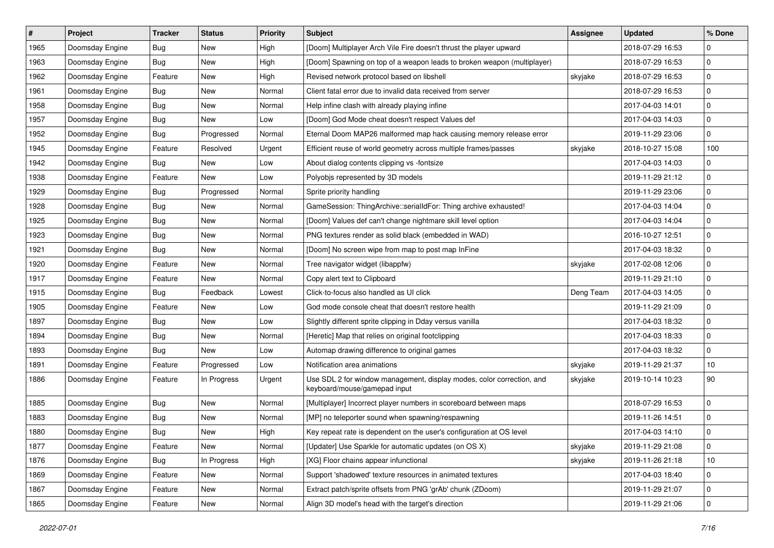| $\vert$ # | Project         | <b>Tracker</b> | <b>Status</b> | <b>Priority</b> | <b>Subject</b>                                                                                        | <b>Assignee</b> | <b>Updated</b>   | % Done      |
|-----------|-----------------|----------------|---------------|-----------------|-------------------------------------------------------------------------------------------------------|-----------------|------------------|-------------|
| 1965      | Doomsday Engine | Bug            | New           | High            | [Doom] Multiplayer Arch Vile Fire doesn't thrust the player upward                                    |                 | 2018-07-29 16:53 | $\mathbf 0$ |
| 1963      | Doomsday Engine | <b>Bug</b>     | New           | High            | [Doom] Spawning on top of a weapon leads to broken weapon (multiplayer)                               |                 | 2018-07-29 16:53 | 0           |
| 1962      | Doomsday Engine | Feature        | New           | High            | Revised network protocol based on libshell                                                            | skyjake         | 2018-07-29 16:53 | $\mathbf 0$ |
| 1961      | Doomsday Engine | Bug            | New           | Normal          | Client fatal error due to invalid data received from server                                           |                 | 2018-07-29 16:53 | $\mathbf 0$ |
| 1958      | Doomsday Engine | Bug            | New           | Normal          | Help infine clash with already playing infine                                                         |                 | 2017-04-03 14:01 | $\mathbf 0$ |
| 1957      | Doomsday Engine | Bug            | New           | Low             | [Doom] God Mode cheat doesn't respect Values def                                                      |                 | 2017-04-03 14:03 | $\mathbf 0$ |
| 1952      | Doomsday Engine | Bug            | Progressed    | Normal          | Eternal Doom MAP26 malformed map hack causing memory release error                                    |                 | 2019-11-29 23:06 | $\mathbf 0$ |
| 1945      | Doomsday Engine | Feature        | Resolved      | Urgent          | Efficient reuse of world geometry across multiple frames/passes                                       | skyjake         | 2018-10-27 15:08 | 100         |
| 1942      | Doomsday Engine | Bug            | New           | Low             | About dialog contents clipping vs -fontsize                                                           |                 | 2017-04-03 14:03 | $\mathbf 0$ |
| 1938      | Doomsday Engine | Feature        | New           | Low             | Polyobjs represented by 3D models                                                                     |                 | 2019-11-29 21:12 | $\mathbf 0$ |
| 1929      | Doomsday Engine | Bug            | Progressed    | Normal          | Sprite priority handling                                                                              |                 | 2019-11-29 23:06 | $\mathbf 0$ |
| 1928      | Doomsday Engine | Bug            | New           | Normal          | GameSession: ThingArchive::serialIdFor: Thing archive exhausted!                                      |                 | 2017-04-03 14:04 | $\mathbf 0$ |
| 1925      | Doomsday Engine | Bug            | New           | Normal          | [Doom] Values def can't change nightmare skill level option                                           |                 | 2017-04-03 14:04 | 0           |
| 1923      | Doomsday Engine | Bug            | New           | Normal          | PNG textures render as solid black (embedded in WAD)                                                  |                 | 2016-10-27 12:51 | $\mathbf 0$ |
| 1921      | Doomsday Engine | Bug            | <b>New</b>    | Normal          | [Doom] No screen wipe from map to post map InFine                                                     |                 | 2017-04-03 18:32 | 0           |
| 1920      | Doomsday Engine | Feature        | New           | Normal          | Tree navigator widget (libappfw)                                                                      | skyjake         | 2017-02-08 12:06 | 0           |
| 1917      | Doomsday Engine | Feature        | New           | Normal          | Copy alert text to Clipboard                                                                          |                 | 2019-11-29 21:10 | $\mathbf 0$ |
| 1915      | Doomsday Engine | Bug            | Feedback      | Lowest          | Click-to-focus also handled as UI click                                                               | Deng Team       | 2017-04-03 14:05 | $\mathbf 0$ |
| 1905      | Doomsday Engine | Feature        | New           | Low             | God mode console cheat that doesn't restore health                                                    |                 | 2019-11-29 21:09 | $\mathbf 0$ |
| 1897      | Doomsday Engine | Bug            | New           | Low             | Slightly different sprite clipping in Dday versus vanilla                                             |                 | 2017-04-03 18:32 | $\mathbf 0$ |
| 1894      | Doomsday Engine | Bug            | New           | Normal          | [Heretic] Map that relies on original footclipping                                                    |                 | 2017-04-03 18:33 | $\mathbf 0$ |
| 1893      | Doomsday Engine | Bug            | New           | Low             | Automap drawing difference to original games                                                          |                 | 2017-04-03 18:32 | $\mathbf 0$ |
| 1891      | Doomsday Engine | Feature        | Progressed    | Low             | Notification area animations                                                                          | skyjake         | 2019-11-29 21:37 | 10          |
| 1886      | Doomsday Engine | Feature        | In Progress   | Urgent          | Use SDL 2 for window management, display modes, color correction, and<br>keyboard/mouse/gamepad input | skyjake         | 2019-10-14 10:23 | 90          |
| 1885      | Doomsday Engine | Bug            | New           | Normal          | [Multiplayer] Incorrect player numbers in scoreboard between maps                                     |                 | 2018-07-29 16:53 | 0           |
| 1883      | Doomsday Engine | Bug            | <b>New</b>    | Normal          | [MP] no teleporter sound when spawning/respawning                                                     |                 | 2019-11-26 14:51 | $\mathbf 0$ |
| 1880      | Doomsday Engine | Bug            | New           | High            | Key repeat rate is dependent on the user's configuration at OS level                                  |                 | 2017-04-03 14:10 | $\mathbf 0$ |
| 1877      | Doomsday Engine | Feature        | New           | Normal          | [Updater] Use Sparkle for automatic updates (on OS X)                                                 | skyjake         | 2019-11-29 21:08 | $\pmb{0}$   |
| 1876      | Doomsday Engine | Bug            | In Progress   | High            | [XG] Floor chains appear infunctional                                                                 | skyjake         | 2019-11-26 21:18 | 10          |
| 1869      | Doomsday Engine | Feature        | New           | Normal          | Support 'shadowed' texture resources in animated textures                                             |                 | 2017-04-03 18:40 | $\pmb{0}$   |
| 1867      | Doomsday Engine | Feature        | New           | Normal          | Extract patch/sprite offsets from PNG 'grAb' chunk (ZDoom)                                            |                 | 2019-11-29 21:07 | 0           |
| 1865      | Doomsday Engine | Feature        | New           | Normal          | Align 3D model's head with the target's direction                                                     |                 | 2019-11-29 21:06 | $\mathbf 0$ |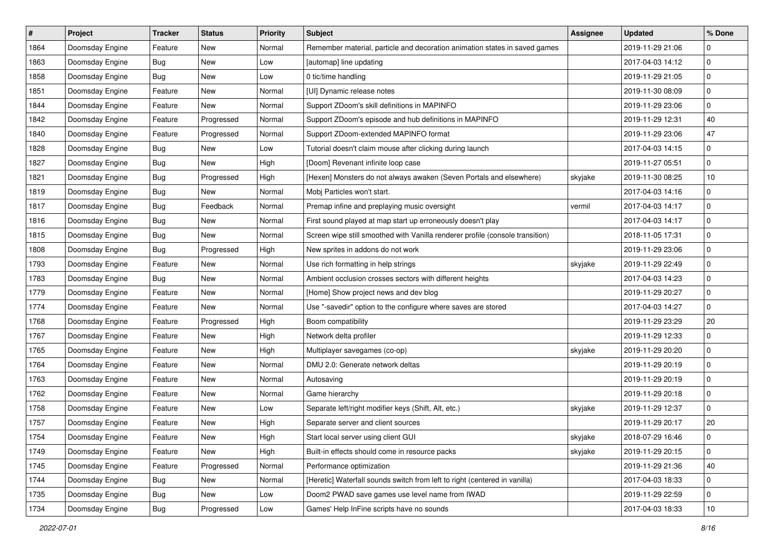| $\sharp$ | Project         | <b>Tracker</b> | <b>Status</b> | <b>Priority</b> | <b>Subject</b>                                                                | <b>Assignee</b> | <b>Updated</b>   | % Done      |
|----------|-----------------|----------------|---------------|-----------------|-------------------------------------------------------------------------------|-----------------|------------------|-------------|
| 1864     | Doomsday Engine | Feature        | New           | Normal          | Remember material, particle and decoration animation states in saved games    |                 | 2019-11-29 21:06 | 0           |
| 1863     | Doomsday Engine | Bug            | <b>New</b>    | Low             | [automap] line updating                                                       |                 | 2017-04-03 14:12 | $\pmb{0}$   |
| 1858     | Doomsday Engine | Bug            | New           | Low             | 0 tic/time handling                                                           |                 | 2019-11-29 21:05 | 0           |
| 1851     | Doomsday Engine | Feature        | New           | Normal          | [UI] Dynamic release notes                                                    |                 | 2019-11-30 08:09 | 0           |
| 1844     | Doomsday Engine | Feature        | New           | Normal          | Support ZDoom's skill definitions in MAPINFO                                  |                 | 2019-11-29 23:06 | 0           |
| 1842     | Doomsday Engine | Feature        | Progressed    | Normal          | Support ZDoom's episode and hub definitions in MAPINFO                        |                 | 2019-11-29 12:31 | 40          |
| 1840     | Doomsday Engine | Feature        | Progressed    | Normal          | Support ZDoom-extended MAPINFO format                                         |                 | 2019-11-29 23:06 | 47          |
| 1828     | Doomsday Engine | Bug            | New           | Low             | Tutorial doesn't claim mouse after clicking during launch                     |                 | 2017-04-03 14:15 | 0           |
| 1827     | Doomsday Engine | <b>Bug</b>     | New           | High            | [Doom] Revenant infinite loop case                                            |                 | 2019-11-27 05:51 | 0           |
| 1821     | Doomsday Engine | Bug            | Progressed    | High            | [Hexen] Monsters do not always awaken (Seven Portals and elsewhere)           | skyjake         | 2019-11-30 08:25 | 10          |
| 1819     | Doomsday Engine | Bug            | New           | Normal          | Mobj Particles won't start.                                                   |                 | 2017-04-03 14:16 | 0           |
| 1817     | Doomsday Engine | Bug            | Feedback      | Normal          | Premap infine and preplaying music oversight                                  | vermil          | 2017-04-03 14:17 | $\mathbf 0$ |
| 1816     | Doomsday Engine | Bug            | New           | Normal          | First sound played at map start up erroneously doesn't play                   |                 | 2017-04-03 14:17 | 0           |
| 1815     | Doomsday Engine | Bug            | New           | Normal          | Screen wipe still smoothed with Vanilla renderer profile (console transition) |                 | 2018-11-05 17:31 | 0           |
| 1808     | Doomsday Engine | Bug            | Progressed    | High            | New sprites in addons do not work                                             |                 | 2019-11-29 23:06 | $\mathbf 0$ |
| 1793     | Doomsday Engine | Feature        | New           | Normal          | Use rich formatting in help strings                                           | skyjake         | 2019-11-29 22:49 | 0           |
| 1783     | Doomsday Engine | Bug            | New           | Normal          | Ambient occlusion crosses sectors with different heights                      |                 | 2017-04-03 14:23 | 0           |
| 1779     | Doomsday Engine | Feature        | New           | Normal          | [Home] Show project news and dev blog                                         |                 | 2019-11-29 20:27 | 0           |
| 1774     | Doomsday Engine | Feature        | New           | Normal          | Use "-savedir" option to the configure where saves are stored                 |                 | 2017-04-03 14:27 | 0           |
| 1768     | Doomsday Engine | Feature        | Progressed    | High            | Boom compatibility                                                            |                 | 2019-11-29 23:29 | 20          |
| 1767     | Doomsday Engine | Feature        | New           | High            | Network delta profiler                                                        |                 | 2019-11-29 12:33 | 0           |
| 1765     | Doomsday Engine | Feature        | New           | High            | Multiplayer savegames (co-op)                                                 | skyjake         | 2019-11-29 20:20 | 0           |
| 1764     | Doomsday Engine | Feature        | New           | Normal          | DMU 2.0: Generate network deltas                                              |                 | 2019-11-29 20:19 | $\mathbf 0$ |
| 1763     | Doomsday Engine | Feature        | New           | Normal          | Autosaving                                                                    |                 | 2019-11-29 20:19 | 0           |
| 1762     | Doomsday Engine | Feature        | New           | Normal          | Game hierarchy                                                                |                 | 2019-11-29 20:18 | $\pmb{0}$   |
| 1758     | Doomsday Engine | Feature        | New           | Low             | Separate left/right modifier keys (Shift, Alt, etc.)                          | skyjake         | 2019-11-29 12:37 | 0           |
| 1757     | Doomsday Engine | Feature        | New           | High            | Separate server and client sources                                            |                 | 2019-11-29 20:17 | 20          |
| 1754     | Doomsday Engine | Feature        | New           | High            | Start local server using client GUI                                           | skyjake         | 2018-07-29 16:46 | 0           |
| 1749     | Doomsday Engine | Feature        | New           | High            | Built-in effects should come in resource packs                                | skyjake         | 2019-11-29 20:15 | 0           |
| 1745     | Doomsday Engine | Feature        | Progressed    | Normal          | Performance optimization                                                      |                 | 2019-11-29 21:36 | 40          |
| 1744     | Doomsday Engine | <b>Bug</b>     | New           | Normal          | [Heretic] Waterfall sounds switch from left to right (centered in vanilla)    |                 | 2017-04-03 18:33 | 0           |
| 1735     | Doomsday Engine | <b>Bug</b>     | New           | Low             | Doom2 PWAD save games use level name from IWAD                                |                 | 2019-11-29 22:59 | 0           |
| 1734     | Doomsday Engine | <b>Bug</b>     | Progressed    | Low             | Games' Help InFine scripts have no sounds                                     |                 | 2017-04-03 18:33 | 10          |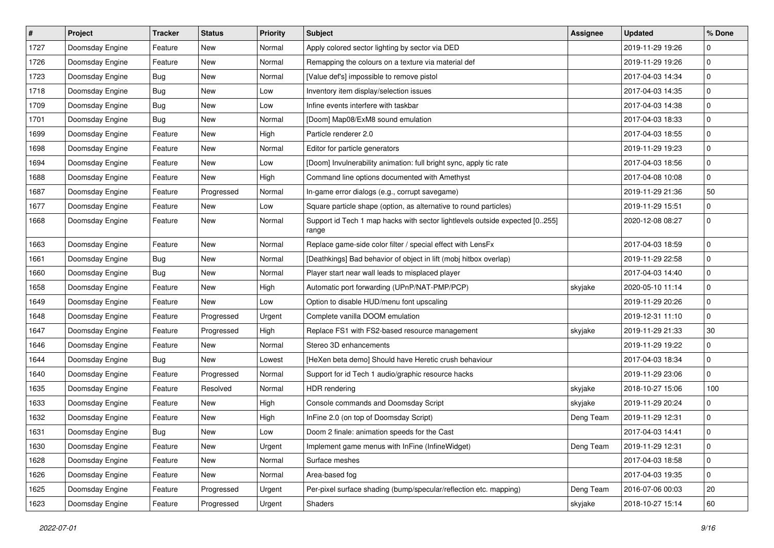| #    | Project         | <b>Tracker</b> | <b>Status</b> | <b>Priority</b> | <b>Subject</b>                                                                       | <b>Assignee</b> | <b>Updated</b>   | % Done      |
|------|-----------------|----------------|---------------|-----------------|--------------------------------------------------------------------------------------|-----------------|------------------|-------------|
| 1727 | Doomsday Engine | Feature        | New           | Normal          | Apply colored sector lighting by sector via DED                                      |                 | 2019-11-29 19:26 | $\mathbf 0$ |
| 1726 | Doomsday Engine | Feature        | New           | Normal          | Remapping the colours on a texture via material def                                  |                 | 2019-11-29 19:26 | 0           |
| 1723 | Doomsday Engine | Bug            | New           | Normal          | [Value def's] impossible to remove pistol                                            |                 | 2017-04-03 14:34 | $\mathbf 0$ |
| 1718 | Doomsday Engine | Bug            | New           | Low             | Inventory item display/selection issues                                              |                 | 2017-04-03 14:35 | $\mathbf 0$ |
| 1709 | Doomsday Engine | Bug            | New           | Low             | Infine events interfere with taskbar                                                 |                 | 2017-04-03 14:38 | $\mathbf 0$ |
| 1701 | Doomsday Engine | Bug            | New           | Normal          | [Doom] Map08/ExM8 sound emulation                                                    |                 | 2017-04-03 18:33 | $\mathbf 0$ |
| 1699 | Doomsday Engine | Feature        | <b>New</b>    | High            | Particle renderer 2.0                                                                |                 | 2017-04-03 18:55 | $\mathbf 0$ |
| 1698 | Doomsday Engine | Feature        | New           | Normal          | Editor for particle generators                                                       |                 | 2019-11-29 19:23 | $\mathbf 0$ |
| 1694 | Doomsday Engine | Feature        | New           | Low             | [Doom] Invulnerability animation: full bright sync, apply tic rate                   |                 | 2017-04-03 18:56 | $\mathbf 0$ |
| 1688 | Doomsday Engine | Feature        | New           | High            | Command line options documented with Amethyst                                        |                 | 2017-04-08 10:08 | $\mathbf 0$ |
| 1687 | Doomsday Engine | Feature        | Progressed    | Normal          | In-game error dialogs (e.g., corrupt savegame)                                       |                 | 2019-11-29 21:36 | 50          |
| 1677 | Doomsday Engine | Feature        | <b>New</b>    | Low             | Square particle shape (option, as alternative to round particles)                    |                 | 2019-11-29 15:51 | $\mathbf 0$ |
| 1668 | Doomsday Engine | Feature        | New           | Normal          | Support id Tech 1 map hacks with sector lightlevels outside expected [0255]<br>range |                 | 2020-12-08 08:27 | 0           |
| 1663 | Doomsday Engine | Feature        | <b>New</b>    | Normal          | Replace game-side color filter / special effect with LensFx                          |                 | 2017-04-03 18:59 | 0           |
| 1661 | Doomsday Engine | Bug            | New           | Normal          | [Deathkings] Bad behavior of object in lift (mobj hitbox overlap)                    |                 | 2019-11-29 22:58 | $\mathbf 0$ |
| 1660 | Doomsday Engine | Bug            | New           | Normal          | Player start near wall leads to misplaced player                                     |                 | 2017-04-03 14:40 | $\mathbf 0$ |
| 1658 | Doomsday Engine | Feature        | New           | High            | Automatic port forwarding (UPnP/NAT-PMP/PCP)                                         | skyjake         | 2020-05-10 11:14 | $\mathbf 0$ |
| 1649 | Doomsday Engine | Feature        | New           | Low             | Option to disable HUD/menu font upscaling                                            |                 | 2019-11-29 20:26 | $\mathbf 0$ |
| 1648 | Doomsday Engine | Feature        | Progressed    | Urgent          | Complete vanilla DOOM emulation                                                      |                 | 2019-12-31 11:10 | $\mathbf 0$ |
| 1647 | Doomsday Engine | Feature        | Progressed    | High            | Replace FS1 with FS2-based resource management                                       | skyjake         | 2019-11-29 21:33 | $30\,$      |
| 1646 | Doomsday Engine | Feature        | New           | Normal          | Stereo 3D enhancements                                                               |                 | 2019-11-29 19:22 | $\mathbf 0$ |
| 1644 | Doomsday Engine | Bug            | New           | Lowest          | [HeXen beta demo] Should have Heretic crush behaviour                                |                 | 2017-04-03 18:34 | $\mathbf 0$ |
| 1640 | Doomsday Engine | Feature        | Progressed    | Normal          | Support for id Tech 1 audio/graphic resource hacks                                   |                 | 2019-11-29 23:06 | $\mathbf 0$ |
| 1635 | Doomsday Engine | Feature        | Resolved      | Normal          | <b>HDR</b> rendering                                                                 | skyjake         | 2018-10-27 15:06 | 100         |
| 1633 | Doomsday Engine | Feature        | New           | High            | Console commands and Doomsday Script                                                 | skyjake         | 2019-11-29 20:24 | 0           |
| 1632 | Doomsday Engine | Feature        | New           | High            | InFine 2.0 (on top of Doomsday Script)                                               | Deng Team       | 2019-11-29 12:31 | $\mathbf 0$ |
| 1631 | Doomsday Engine | Bug            | New           | Low             | Doom 2 finale: animation speeds for the Cast                                         |                 | 2017-04-03 14:41 | $\mathbf 0$ |
| 1630 | Doomsday Engine | Feature        | New           | Urgent          | Implement game menus with InFine (InfineWidget)                                      | Deng Team       | 2019-11-29 12:31 | $\mathbf 0$ |
| 1628 | Doomsday Engine | Feature        | New           | Normal          | Surface meshes                                                                       |                 | 2017-04-03 18:58 | $\mathbf 0$ |
| 1626 | Doomsday Engine | Feature        | New           | Normal          | Area-based fog                                                                       |                 | 2017-04-03 19:35 | $\pmb{0}$   |
| 1625 | Doomsday Engine | Feature        | Progressed    | Urgent          | Per-pixel surface shading (bump/specular/reflection etc. mapping)                    | Deng Team       | 2016-07-06 00:03 | 20          |
| 1623 | Doomsday Engine | Feature        | Progressed    | Urgent          | Shaders                                                                              | skyjake         | 2018-10-27 15:14 | 60          |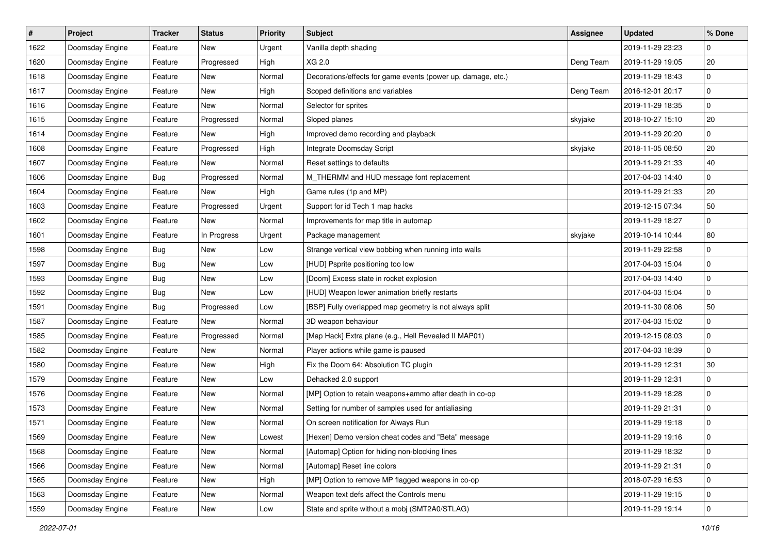| $\sharp$ | <b>Project</b>  | <b>Tracker</b> | <b>Status</b> | <b>Priority</b> | <b>Subject</b>                                               | <b>Assignee</b> | <b>Updated</b>   | % Done      |
|----------|-----------------|----------------|---------------|-----------------|--------------------------------------------------------------|-----------------|------------------|-------------|
| 1622     | Doomsday Engine | Feature        | New           | Urgent          | Vanilla depth shading                                        |                 | 2019-11-29 23:23 | 0           |
| 1620     | Doomsday Engine | Feature        | Progressed    | High            | XG 2.0                                                       | Deng Team       | 2019-11-29 19:05 | 20          |
| 1618     | Doomsday Engine | Feature        | New           | Normal          | Decorations/effects for game events (power up, damage, etc.) |                 | 2019-11-29 18:43 | 0           |
| 1617     | Doomsday Engine | Feature        | New           | High            | Scoped definitions and variables                             | Deng Team       | 2016-12-01 20:17 | $\mathbf 0$ |
| 1616     | Doomsday Engine | Feature        | New           | Normal          | Selector for sprites                                         |                 | 2019-11-29 18:35 | 0           |
| 1615     | Doomsday Engine | Feature        | Progressed    | Normal          | Sloped planes                                                | skyjake         | 2018-10-27 15:10 | 20          |
| 1614     | Doomsday Engine | Feature        | New           | High            | Improved demo recording and playback                         |                 | 2019-11-29 20:20 | $\mathbf 0$ |
| 1608     | Doomsday Engine | Feature        | Progressed    | High            | Integrate Doomsday Script                                    | skyjake         | 2018-11-05 08:50 | $20\,$      |
| 1607     | Doomsday Engine | Feature        | New           | Normal          | Reset settings to defaults                                   |                 | 2019-11-29 21:33 | 40          |
| 1606     | Doomsday Engine | Bug            | Progressed    | Normal          | M_THERMM and HUD message font replacement                    |                 | 2017-04-03 14:40 | $\mathbf 0$ |
| 1604     | Doomsday Engine | Feature        | New           | High            | Game rules (1p and MP)                                       |                 | 2019-11-29 21:33 | 20          |
| 1603     | Doomsday Engine | Feature        | Progressed    | Urgent          | Support for id Tech 1 map hacks                              |                 | 2019-12-15 07:34 | 50          |
| 1602     | Doomsday Engine | Feature        | New           | Normal          | Improvements for map title in automap                        |                 | 2019-11-29 18:27 | 0           |
| 1601     | Doomsday Engine | Feature        | In Progress   | Urgent          | Package management                                           | skyjake         | 2019-10-14 10:44 | 80          |
| 1598     | Doomsday Engine | Bug            | New           | Low             | Strange vertical view bobbing when running into walls        |                 | 2019-11-29 22:58 | 0           |
| 1597     | Doomsday Engine | Bug            | New           | Low             | [HUD] Psprite positioning too low                            |                 | 2017-04-03 15:04 | 0           |
| 1593     | Doomsday Engine | Bug            | New           | Low             | [Doom] Excess state in rocket explosion                      |                 | 2017-04-03 14:40 | 0           |
| 1592     | Doomsday Engine | <b>Bug</b>     | New           | Low             | [HUD] Weapon lower animation briefly restarts                |                 | 2017-04-03 15:04 | $\mathbf 0$ |
| 1591     | Doomsday Engine | Bug            | Progressed    | Low             | [BSP] Fully overlapped map geometry is not always split      |                 | 2019-11-30 08:06 | 50          |
| 1587     | Doomsday Engine | Feature        | New           | Normal          | 3D weapon behaviour                                          |                 | 2017-04-03 15:02 | $\mathbf 0$ |
| 1585     | Doomsday Engine | Feature        | Progressed    | Normal          | [Map Hack] Extra plane (e.g., Hell Revealed II MAP01)        |                 | 2019-12-15 08:03 | $\mathbf 0$ |
| 1582     | Doomsday Engine | Feature        | New           | Normal          | Player actions while game is paused                          |                 | 2017-04-03 18:39 | $\mathbf 0$ |
| 1580     | Doomsday Engine | Feature        | New           | High            | Fix the Doom 64: Absolution TC plugin                        |                 | 2019-11-29 12:31 | $30\,$      |
| 1579     | Doomsday Engine | Feature        | New           | Low             | Dehacked 2.0 support                                         |                 | 2019-11-29 12:31 | $\mathbf 0$ |
| 1576     | Doomsday Engine | Feature        | <b>New</b>    | Normal          | [MP] Option to retain weapons+ammo after death in co-op      |                 | 2019-11-29 18:28 | $\mathbf 0$ |
| 1573     | Doomsday Engine | Feature        | New           | Normal          | Setting for number of samples used for antialiasing          |                 | 2019-11-29 21:31 | 0           |
| 1571     | Doomsday Engine | Feature        | New           | Normal          | On screen notification for Always Run                        |                 | 2019-11-29 19:18 | $\mathbf 0$ |
| 1569     | Doomsday Engine | Feature        | New           | Lowest          | [Hexen] Demo version cheat codes and "Beta" message          |                 | 2019-11-29 19:16 | 0           |
| 1568     | Doomsday Engine | Feature        | New           | Normal          | [Automap] Option for hiding non-blocking lines               |                 | 2019-11-29 18:32 | 0           |
| 1566     | Doomsday Engine | Feature        | New           | Normal          | [Automap] Reset line colors                                  |                 | 2019-11-29 21:31 | $\mathbf 0$ |
| 1565     | Doomsday Engine | Feature        | New           | High            | [MP] Option to remove MP flagged weapons in co-op            |                 | 2018-07-29 16:53 | 0           |
| 1563     | Doomsday Engine | Feature        | New           | Normal          | Weapon text defs affect the Controls menu                    |                 | 2019-11-29 19:15 | $\mathbf 0$ |
| 1559     | Doomsday Engine | Feature        | New           | Low             | State and sprite without a mobj (SMT2A0/STLAG)               |                 | 2019-11-29 19:14 | $\mathbf 0$ |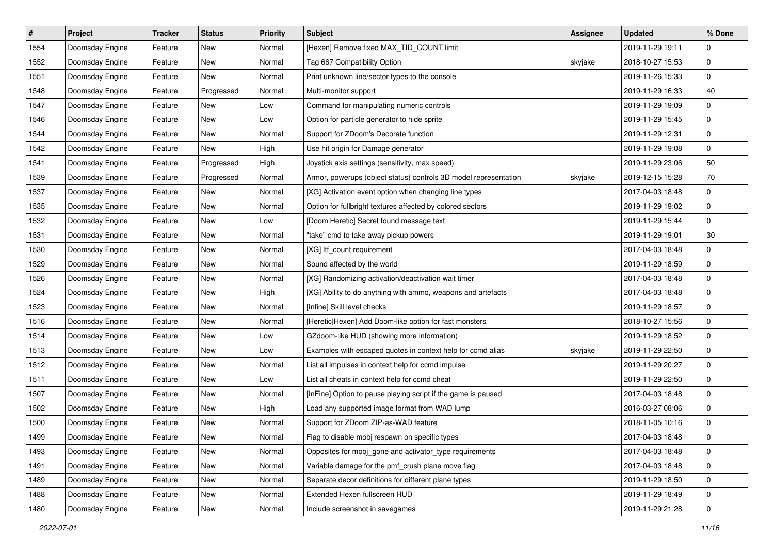| #    | Project         | <b>Tracker</b> | <b>Status</b> | <b>Priority</b> | <b>Subject</b>                                                   | <b>Assignee</b> | <b>Updated</b>   | % Done      |
|------|-----------------|----------------|---------------|-----------------|------------------------------------------------------------------|-----------------|------------------|-------------|
| 1554 | Doomsday Engine | Feature        | New           | Normal          | [Hexen] Remove fixed MAX_TID_COUNT limit                         |                 | 2019-11-29 19:11 | $\mathbf 0$ |
| 1552 | Doomsday Engine | Feature        | New           | Normal          | Tag 667 Compatibility Option                                     | skyjake         | 2018-10-27 15:53 | $\mathbf 0$ |
| 1551 | Doomsday Engine | Feature        | New           | Normal          | Print unknown line/sector types to the console                   |                 | 2019-11-26 15:33 | 0           |
| 1548 | Doomsday Engine | Feature        | Progressed    | Normal          | Multi-monitor support                                            |                 | 2019-11-29 16:33 | 40          |
| 1547 | Doomsday Engine | Feature        | New           | Low             | Command for manipulating numeric controls                        |                 | 2019-11-29 19:09 | $\mathbf 0$ |
| 1546 | Doomsday Engine | Feature        | New           | Low             | Option for particle generator to hide sprite                     |                 | 2019-11-29 15:45 | $\mathbf 0$ |
| 1544 | Doomsday Engine | Feature        | <b>New</b>    | Normal          | Support for ZDoom's Decorate function                            |                 | 2019-11-29 12:31 | $\mathbf 0$ |
| 1542 | Doomsday Engine | Feature        | New           | High            | Use hit origin for Damage generator                              |                 | 2019-11-29 19:08 | $\mathbf 0$ |
| 1541 | Doomsday Engine | Feature        | Progressed    | High            | Joystick axis settings (sensitivity, max speed)                  |                 | 2019-11-29 23:06 | 50          |
| 1539 | Doomsday Engine | Feature        | Progressed    | Normal          | Armor, powerups (object status) controls 3D model representation | skyjake         | 2019-12-15 15:28 | 70          |
| 1537 | Doomsday Engine | Feature        | New           | Normal          | [XG] Activation event option when changing line types            |                 | 2017-04-03 18:48 | 0           |
| 1535 | Doomsday Engine | Feature        | New           | Normal          | Option for fullbright textures affected by colored sectors       |                 | 2019-11-29 19:02 | $\mathbf 0$ |
| 1532 | Doomsday Engine | Feature        | New           | Low             | [Doom Heretic] Secret found message text                         |                 | 2019-11-29 15:44 | 0           |
| 1531 | Doomsday Engine | Feature        | New           | Normal          | "take" cmd to take away pickup powers                            |                 | 2019-11-29 19:01 | $30\,$      |
| 1530 | Doomsday Engine | Feature        | New           | Normal          | [XG] Itf_count requirement                                       |                 | 2017-04-03 18:48 | 0           |
| 1529 | Doomsday Engine | Feature        | New           | Normal          | Sound affected by the world                                      |                 | 2019-11-29 18:59 | 0           |
| 1526 | Doomsday Engine | Feature        | New           | Normal          | [XG] Randomizing activation/deactivation wait timer              |                 | 2017-04-03 18:48 | $\mathbf 0$ |
| 1524 | Doomsday Engine | Feature        | New           | High            | [XG] Ability to do anything with ammo, weapons and artefacts     |                 | 2017-04-03 18:48 | 0           |
| 1523 | Doomsday Engine | Feature        | New           | Normal          | [Infine] Skill level checks                                      |                 | 2019-11-29 18:57 | $\mathbf 0$ |
| 1516 | Doomsday Engine | Feature        | <b>New</b>    | Normal          | [Heretic Hexen] Add Doom-like option for fast monsters           |                 | 2018-10-27 15:56 | $\mathbf 0$ |
| 1514 | Doomsday Engine | Feature        | New           | Low             | GZdoom-like HUD (showing more information)                       |                 | 2019-11-29 18:52 | $\mathbf 0$ |
| 1513 | Doomsday Engine | Feature        | New           | Low             | Examples with escaped quotes in context help for ccmd alias      | skyjake         | 2019-11-29 22:50 | $\mathbf 0$ |
| 1512 | Doomsday Engine | Feature        | New           | Normal          | List all impulses in context help for ccmd impulse               |                 | 2019-11-29 20:27 | $\mathbf 0$ |
| 1511 | Doomsday Engine | Feature        | New           | Low             | List all cheats in context help for ccmd cheat                   |                 | 2019-11-29 22:50 | $\mathbf 0$ |
| 1507 | Doomsday Engine | Feature        | <b>New</b>    | Normal          | [InFine] Option to pause playing script if the game is paused    |                 | 2017-04-03 18:48 | $\mathbf 0$ |
| 1502 | Doomsday Engine | Feature        | New           | High            | Load any supported image format from WAD lump                    |                 | 2016-03-27 08:06 | 0           |
| 1500 | Doomsday Engine | Feature        | New           | Normal          | Support for ZDoom ZIP-as-WAD feature                             |                 | 2018-11-05 10:16 | $\mathbf 0$ |
| 1499 | Doomsday Engine | Feature        | New           | Normal          | Flag to disable mobj respawn on specific types                   |                 | 2017-04-03 18:48 | $\mathbf 0$ |
| 1493 | Doomsday Engine | Feature        | New           | Normal          | Opposites for mobj_gone and activator_type requirements          |                 | 2017-04-03 18:48 | $\mathbf 0$ |
| 1491 | Doomsday Engine | Feature        | New           | Normal          | Variable damage for the pmf_crush plane move flag                |                 | 2017-04-03 18:48 | $\mathbf 0$ |
| 1489 | Doomsday Engine | Feature        | New           | Normal          | Separate decor definitions for different plane types             |                 | 2019-11-29 18:50 | 0           |
| 1488 | Doomsday Engine | Feature        | New           | Normal          | Extended Hexen fullscreen HUD                                    |                 | 2019-11-29 18:49 | 0           |
| 1480 | Doomsday Engine | Feature        | New           | Normal          | Include screenshot in savegames                                  |                 | 2019-11-29 21:28 | $\pmb{0}$   |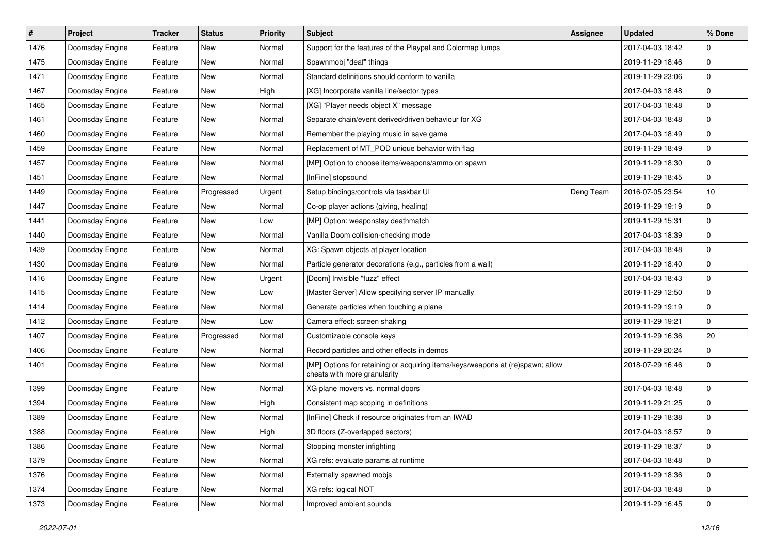| #    | Project         | <b>Tracker</b> | <b>Status</b> | <b>Priority</b> | <b>Subject</b>                                                                                                 | <b>Assignee</b> | <b>Updated</b>   | % Done      |
|------|-----------------|----------------|---------------|-----------------|----------------------------------------------------------------------------------------------------------------|-----------------|------------------|-------------|
| 1476 | Doomsday Engine | Feature        | New           | Normal          | Support for the features of the Playpal and Colormap lumps                                                     |                 | 2017-04-03 18:42 | $\mathbf 0$ |
| 1475 | Doomsday Engine | Feature        | New           | Normal          | Spawnmobj "deaf" things                                                                                        |                 | 2019-11-29 18:46 | $\mathbf 0$ |
| 1471 | Doomsday Engine | Feature        | New           | Normal          | Standard definitions should conform to vanilla                                                                 |                 | 2019-11-29 23:06 | $\mathbf 0$ |
| 1467 | Doomsday Engine | Feature        | <b>New</b>    | High            | [XG] Incorporate vanilla line/sector types                                                                     |                 | 2017-04-03 18:48 | $\mathbf 0$ |
| 1465 | Doomsday Engine | Feature        | New           | Normal          | [XG] "Player needs object X" message                                                                           |                 | 2017-04-03 18:48 | $\mathbf 0$ |
| 1461 | Doomsday Engine | Feature        | New           | Normal          | Separate chain/event derived/driven behaviour for XG                                                           |                 | 2017-04-03 18:48 | $\mathbf 0$ |
| 1460 | Doomsday Engine | Feature        | <b>New</b>    | Normal          | Remember the playing music in save game                                                                        |                 | 2017-04-03 18:49 | $\mathbf 0$ |
| 1459 | Doomsday Engine | Feature        | New           | Normal          | Replacement of MT_POD unique behavior with flag                                                                |                 | 2019-11-29 18:49 | $\mathbf 0$ |
| 1457 | Doomsday Engine | Feature        | New           | Normal          | [MP] Option to choose items/weapons/ammo on spawn                                                              |                 | 2019-11-29 18:30 | $\pmb{0}$   |
| 1451 | Doomsday Engine | Feature        | New           | Normal          | [InFine] stopsound                                                                                             |                 | 2019-11-29 18:45 | $\mathbf 0$ |
| 1449 | Doomsday Engine | Feature        | Progressed    | Urgent          | Setup bindings/controls via taskbar UI                                                                         | Deng Team       | 2016-07-05 23:54 | 10          |
| 1447 | Doomsday Engine | Feature        | <b>New</b>    | Normal          | Co-op player actions (giving, healing)                                                                         |                 | 2019-11-29 19:19 | $\pmb{0}$   |
| 1441 | Doomsday Engine | Feature        | New           | Low             | [MP] Option: weaponstay deathmatch                                                                             |                 | 2019-11-29 15:31 | $\mathbf 0$ |
| 1440 | Doomsday Engine | Feature        | New           | Normal          | Vanilla Doom collision-checking mode                                                                           |                 | 2017-04-03 18:39 | $\mathbf 0$ |
| 1439 | Doomsday Engine | Feature        | New           | Normal          | XG: Spawn objects at player location                                                                           |                 | 2017-04-03 18:48 | $\mathbf 0$ |
| 1430 | Doomsday Engine | Feature        | New           | Normal          | Particle generator decorations (e.g., particles from a wall)                                                   |                 | 2019-11-29 18:40 | $\mathbf 0$ |
| 1416 | Doomsday Engine | Feature        | New           | Urgent          | [Doom] Invisible "fuzz" effect                                                                                 |                 | 2017-04-03 18:43 | $\pmb{0}$   |
| 1415 | Doomsday Engine | Feature        | New           | Low             | [Master Server] Allow specifying server IP manually                                                            |                 | 2019-11-29 12:50 | $\mathbf 0$ |
| 1414 | Doomsday Engine | Feature        | New           | Normal          | Generate particles when touching a plane                                                                       |                 | 2019-11-29 19:19 | $\mathbf 0$ |
| 1412 | Doomsday Engine | Feature        | New           | Low             | Camera effect: screen shaking                                                                                  |                 | 2019-11-29 19:21 | $\mathbf 0$ |
| 1407 | Doomsday Engine | Feature        | Progressed    | Normal          | Customizable console keys                                                                                      |                 | 2019-11-29 16:36 | 20          |
| 1406 | Doomsday Engine | Feature        | New           | Normal          | Record particles and other effects in demos                                                                    |                 | 2019-11-29 20:24 | $\mathbf 0$ |
| 1401 | Doomsday Engine | Feature        | New           | Normal          | [MP] Options for retaining or acquiring items/keys/weapons at (re)spawn; allow<br>cheats with more granularity |                 | 2018-07-29 16:46 | $\mathbf 0$ |
| 1399 | Doomsday Engine | Feature        | <b>New</b>    | Normal          | XG plane movers vs. normal doors                                                                               |                 | 2017-04-03 18:48 | $\pmb{0}$   |
| 1394 | Doomsday Engine | Feature        | New           | High            | Consistent map scoping in definitions                                                                          |                 | 2019-11-29 21:25 | $\mathbf 0$ |
| 1389 | Doomsday Engine | Feature        | New           | Normal          | [InFine] Check if resource originates from an IWAD                                                             |                 | 2019-11-29 18:38 | $\mathbf 0$ |
| 1388 | Doomsday Engine | Feature        | New           | High            | 3D floors (Z-overlapped sectors)                                                                               |                 | 2017-04-03 18:57 | $\mathbf 0$ |
| 1386 | Doomsday Engine | Feature        | New           | Normal          | Stopping monster infighting                                                                                    |                 | 2019-11-29 18:37 | 0           |
| 1379 | Doomsday Engine | Feature        | New           | Normal          | XG refs: evaluate params at runtime                                                                            |                 | 2017-04-03 18:48 | $\mathbf 0$ |
| 1376 | Doomsday Engine | Feature        | New           | Normal          | Externally spawned mobjs                                                                                       |                 | 2019-11-29 18:36 | $\mathbf 0$ |
| 1374 | Doomsday Engine | Feature        | New           | Normal          | XG refs: logical NOT                                                                                           |                 | 2017-04-03 18:48 | $\mathbf 0$ |
| 1373 | Doomsday Engine | Feature        | New           | Normal          | Improved ambient sounds                                                                                        |                 | 2019-11-29 16:45 | $\mathbf 0$ |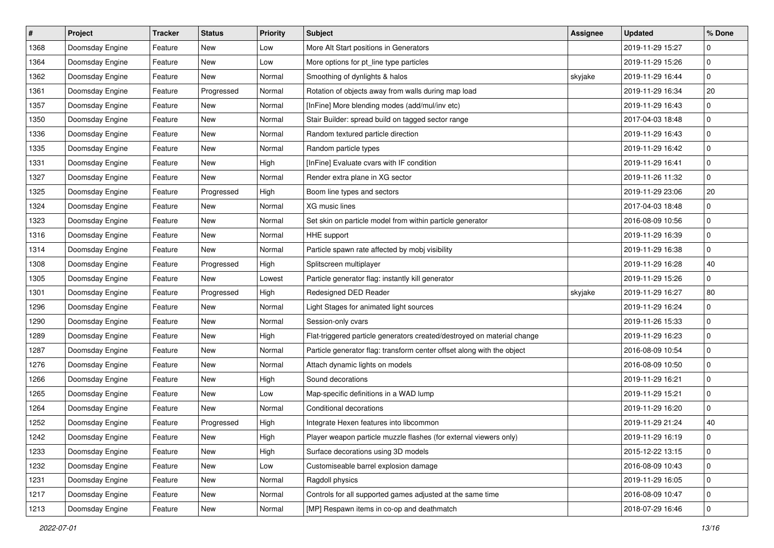| $\sharp$ | Project         | <b>Tracker</b> | <b>Status</b> | <b>Priority</b> | Subject                                                                 | <b>Assignee</b> | <b>Updated</b>   | % Done      |
|----------|-----------------|----------------|---------------|-----------------|-------------------------------------------------------------------------|-----------------|------------------|-------------|
| 1368     | Doomsday Engine | Feature        | New           | Low             | More Alt Start positions in Generators                                  |                 | 2019-11-29 15:27 | 0           |
| 1364     | Doomsday Engine | Feature        | New           | Low             | More options for pt_line type particles                                 |                 | 2019-11-29 15:26 | $\mathbf 0$ |
| 1362     | Doomsday Engine | Feature        | New           | Normal          | Smoothing of dynlights & halos                                          | skyjake         | 2019-11-29 16:44 | 0           |
| 1361     | Doomsday Engine | Feature        | Progressed    | Normal          | Rotation of objects away from walls during map load                     |                 | 2019-11-29 16:34 | 20          |
| 1357     | Doomsday Engine | Feature        | New           | Normal          | [InFine] More blending modes (add/mul/inv etc)                          |                 | 2019-11-29 16:43 | 0           |
| 1350     | Doomsday Engine | Feature        | New           | Normal          | Stair Builder: spread build on tagged sector range                      |                 | 2017-04-03 18:48 | 0           |
| 1336     | Doomsday Engine | Feature        | <b>New</b>    | Normal          | Random textured particle direction                                      |                 | 2019-11-29 16:43 | $\mathbf 0$ |
| 1335     | Doomsday Engine | Feature        | New           | Normal          | Random particle types                                                   |                 | 2019-11-29 16:42 | 0           |
| 1331     | Doomsday Engine | Feature        | New           | High            | [InFine] Evaluate cvars with IF condition                               |                 | 2019-11-29 16:41 | 0           |
| 1327     | Doomsday Engine | Feature        | New           | Normal          | Render extra plane in XG sector                                         |                 | 2019-11-26 11:32 | 0           |
| 1325     | Doomsday Engine | Feature        | Progressed    | High            | Boom line types and sectors                                             |                 | 2019-11-29 23:06 | 20          |
| 1324     | Doomsday Engine | Feature        | <b>New</b>    | Normal          | XG music lines                                                          |                 | 2017-04-03 18:48 | $\pmb{0}$   |
| 1323     | Doomsday Engine | Feature        | New           | Normal          | Set skin on particle model from within particle generator               |                 | 2016-08-09 10:56 | 0           |
| 1316     | Doomsday Engine | Feature        | New           | Normal          | HHE support                                                             |                 | 2019-11-29 16:39 | 0           |
| 1314     | Doomsday Engine | Feature        | New           | Normal          | Particle spawn rate affected by mobj visibility                         |                 | 2019-11-29 16:38 | 0           |
| 1308     | Doomsday Engine | Feature        | Progressed    | High            | Splitscreen multiplayer                                                 |                 | 2019-11-29 16:28 | 40          |
| 1305     | Doomsday Engine | Feature        | New           | Lowest          | Particle generator flag: instantly kill generator                       |                 | 2019-11-29 15:26 | $\pmb{0}$   |
| 1301     | Doomsday Engine | Feature        | Progressed    | High            | Redesigned DED Reader                                                   | skyjake         | 2019-11-29 16:27 | 80          |
| 1296     | Doomsday Engine | Feature        | New           | Normal          | Light Stages for animated light sources                                 |                 | 2019-11-29 16:24 | 0           |
| 1290     | Doomsday Engine | Feature        | New           | Normal          | Session-only cvars                                                      |                 | 2019-11-26 15:33 | 0           |
| 1289     | Doomsday Engine | Feature        | New           | High            | Flat-triggered particle generators created/destroyed on material change |                 | 2019-11-29 16:23 | 0           |
| 1287     | Doomsday Engine | Feature        | New           | Normal          | Particle generator flag: transform center offset along with the object  |                 | 2016-08-09 10:54 | 0           |
| 1276     | Doomsday Engine | Feature        | New           | Normal          | Attach dynamic lights on models                                         |                 | 2016-08-09 10:50 | $\mathbf 0$ |
| 1266     | Doomsday Engine | Feature        | New           | High            | Sound decorations                                                       |                 | 2019-11-29 16:21 | 0           |
| 1265     | Doomsday Engine | Feature        | New           | Low             | Map-specific definitions in a WAD lump                                  |                 | 2019-11-29 15:21 | $\mathbf 0$ |
| 1264     | Doomsday Engine | Feature        | New           | Normal          | Conditional decorations                                                 |                 | 2019-11-29 16:20 | 0           |
| 1252     | Doomsday Engine | Feature        | Progressed    | High            | Integrate Hexen features into libcommon                                 |                 | 2019-11-29 21:24 | 40          |
| 1242     | Doomsday Engine | Feature        | New           | High            | Player weapon particle muzzle flashes (for external viewers only)       |                 | 2019-11-29 16:19 | 0           |
| 1233     | Doomsday Engine | Feature        | New           | High            | Surface decorations using 3D models                                     |                 | 2015-12-22 13:15 | 0           |
| 1232     | Doomsday Engine | Feature        | New           | Low             | Customiseable barrel explosion damage                                   |                 | 2016-08-09 10:43 | $\pmb{0}$   |
| 1231     | Doomsday Engine | Feature        | New           | Normal          | Ragdoll physics                                                         |                 | 2019-11-29 16:05 | 0           |
| 1217     | Doomsday Engine | Feature        | New           | Normal          | Controls for all supported games adjusted at the same time              |                 | 2016-08-09 10:47 | 0           |
| 1213     | Doomsday Engine | Feature        | New           | Normal          | [MP] Respawn items in co-op and deathmatch                              |                 | 2018-07-29 16:46 | $\pmb{0}$   |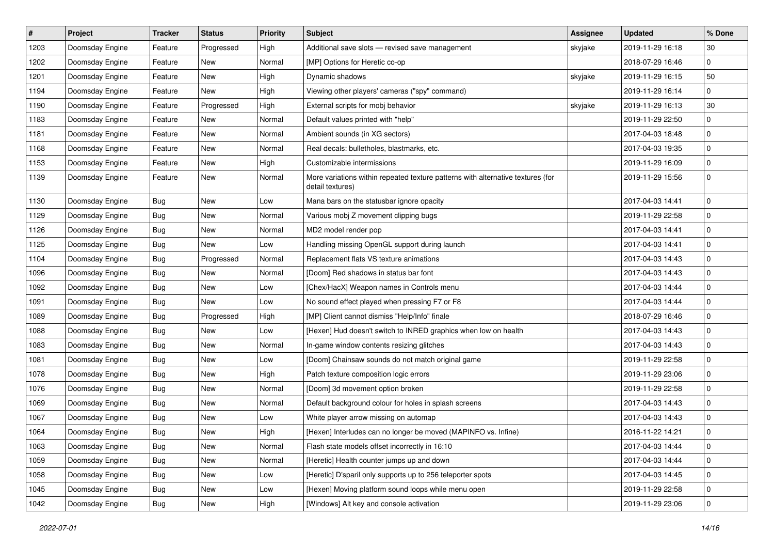| $\sharp$ | Project         | <b>Tracker</b> | <b>Status</b> | <b>Priority</b> | <b>Subject</b>                                                                                      | <b>Assignee</b> | <b>Updated</b>   | % Done      |
|----------|-----------------|----------------|---------------|-----------------|-----------------------------------------------------------------------------------------------------|-----------------|------------------|-------------|
| 1203     | Doomsday Engine | Feature        | Progressed    | High            | Additional save slots - revised save management                                                     | skyjake         | 2019-11-29 16:18 | 30          |
| 1202     | Doomsday Engine | Feature        | New           | Normal          | [MP] Options for Heretic co-op                                                                      |                 | 2018-07-29 16:46 | $\mathbf 0$ |
| 1201     | Doomsday Engine | Feature        | New           | High            | Dynamic shadows                                                                                     | skyjake         | 2019-11-29 16:15 | 50          |
| 1194     | Doomsday Engine | Feature        | New           | High            | Viewing other players' cameras ("spy" command)                                                      |                 | 2019-11-29 16:14 | $\mathbf 0$ |
| 1190     | Doomsday Engine | Feature        | Progressed    | High            | External scripts for mobj behavior                                                                  | skyjake         | 2019-11-29 16:13 | 30          |
| 1183     | Doomsday Engine | Feature        | New           | Normal          | Default values printed with "help"                                                                  |                 | 2019-11-29 22:50 | $\mathbf 0$ |
| 1181     | Doomsday Engine | Feature        | New           | Normal          | Ambient sounds (in XG sectors)                                                                      |                 | 2017-04-03 18:48 | $\mathbf 0$ |
| 1168     | Doomsday Engine | Feature        | New           | Normal          | Real decals: bulletholes, blastmarks, etc.                                                          |                 | 2017-04-03 19:35 | $\mathbf 0$ |
| 1153     | Doomsday Engine | Feature        | New           | High            | Customizable intermissions                                                                          |                 | 2019-11-29 16:09 | $\pmb{0}$   |
| 1139     | Doomsday Engine | Feature        | New           | Normal          | More variations within repeated texture patterns with alternative textures (for<br>detail textures) |                 | 2019-11-29 15:56 | $\mathbf 0$ |
| 1130     | Doomsday Engine | Bug            | New           | Low             | Mana bars on the statusbar ignore opacity                                                           |                 | 2017-04-03 14:41 | $\mathbf 0$ |
| 1129     | Doomsday Engine | Bug            | New           | Normal          | Various mobj Z movement clipping bugs                                                               |                 | 2019-11-29 22:58 | $\mathbf 0$ |
| 1126     | Doomsday Engine | <b>Bug</b>     | New           | Normal          | MD2 model render pop                                                                                |                 | 2017-04-03 14:41 | $\mathbf 0$ |
| 1125     | Doomsday Engine | Bug            | New           | Low             | Handling missing OpenGL support during launch                                                       |                 | 2017-04-03 14:41 | $\mathbf 0$ |
| 1104     | Doomsday Engine | <b>Bug</b>     | Progressed    | Normal          | Replacement flats VS texture animations                                                             |                 | 2017-04-03 14:43 | $\mathbf 0$ |
| 1096     | Doomsday Engine | <b>Bug</b>     | New           | Normal          | [Doom] Red shadows in status bar font                                                               |                 | 2017-04-03 14:43 | $\mathbf 0$ |
| 1092     | Doomsday Engine | Bug            | New           | Low             | [Chex/HacX] Weapon names in Controls menu                                                           |                 | 2017-04-03 14:44 | $\mathbf 0$ |
| 1091     | Doomsday Engine | <b>Bug</b>     | New           | Low             | No sound effect played when pressing F7 or F8                                                       |                 | 2017-04-03 14:44 | $\mathbf 0$ |
| 1089     | Doomsday Engine | <b>Bug</b>     | Progressed    | High            | [MP] Client cannot dismiss "Help/Info" finale                                                       |                 | 2018-07-29 16:46 | $\mathbf 0$ |
| 1088     | Doomsday Engine | Bug            | New           | Low             | [Hexen] Hud doesn't switch to INRED graphics when low on health                                     |                 | 2017-04-03 14:43 | $\mathbf 0$ |
| 1083     | Doomsday Engine | <b>Bug</b>     | New           | Normal          | In-game window contents resizing glitches                                                           |                 | 2017-04-03 14:43 | $\mathbf 0$ |
| 1081     | Doomsday Engine | Bug            | <b>New</b>    | Low             | [Doom] Chainsaw sounds do not match original game                                                   |                 | 2019-11-29 22:58 | $\mathbf 0$ |
| 1078     | Doomsday Engine | Bug            | New           | High            | Patch texture composition logic errors                                                              |                 | 2019-11-29 23:06 | $\mathbf 0$ |
| 1076     | Doomsday Engine | Bug            | <b>New</b>    | Normal          | [Doom] 3d movement option broken                                                                    |                 | 2019-11-29 22:58 | $\pmb{0}$   |
| 1069     | Doomsday Engine | Bug            | New           | Normal          | Default background colour for holes in splash screens                                               |                 | 2017-04-03 14:43 | $\mathbf 0$ |
| 1067     | Doomsday Engine | <b>Bug</b>     | New           | Low             | White player arrow missing on automap                                                               |                 | 2017-04-03 14:43 | $\mathbf 0$ |
| 1064     | Doomsday Engine | <b>Bug</b>     | New           | High            | [Hexen] Interludes can no longer be moved (MAPINFO vs. Infine)                                      |                 | 2016-11-22 14:21 | $\mathbf 0$ |
| 1063     | Doomsday Engine | <b>Bug</b>     | New           | Normal          | Flash state models offset incorrectly in 16:10                                                      |                 | 2017-04-03 14:44 | $\pmb{0}$   |
| 1059     | Doomsday Engine | <b>Bug</b>     | New           | Normal          | [Heretic] Health counter jumps up and down                                                          |                 | 2017-04-03 14:44 | $\pmb{0}$   |
| 1058     | Doomsday Engine | <b>Bug</b>     | New           | Low             | [Heretic] D'sparil only supports up to 256 teleporter spots                                         |                 | 2017-04-03 14:45 | $\pmb{0}$   |
| 1045     | Doomsday Engine | <b>Bug</b>     | New           | Low             | [Hexen] Moving platform sound loops while menu open                                                 |                 | 2019-11-29 22:58 | $\pmb{0}$   |
| 1042     | Doomsday Engine | <b>Bug</b>     | New           | High            | [Windows] Alt key and console activation                                                            |                 | 2019-11-29 23:06 | $\pmb{0}$   |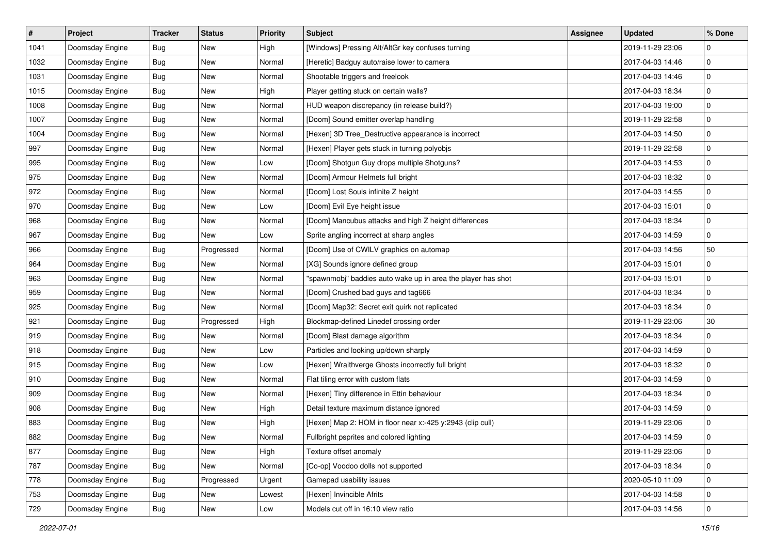| $\sharp$ | Project         | <b>Tracker</b> | <b>Status</b> | <b>Priority</b> | <b>Subject</b>                                               | <b>Assignee</b> | <b>Updated</b>   | % Done      |
|----------|-----------------|----------------|---------------|-----------------|--------------------------------------------------------------|-----------------|------------------|-------------|
| 1041     | Doomsday Engine | Bug            | New           | High            | [Windows] Pressing Alt/AltGr key confuses turning            |                 | 2019-11-29 23:06 | 0           |
| 1032     | Doomsday Engine | Bug            | New           | Normal          | [Heretic] Badguy auto/raise lower to camera                  |                 | 2017-04-03 14:46 | $\mathbf 0$ |
| 1031     | Doomsday Engine | <b>Bug</b>     | New           | Normal          | Shootable triggers and freelook                              |                 | 2017-04-03 14:46 | $\mathbf 0$ |
| 1015     | Doomsday Engine | Bug            | New           | High            | Player getting stuck on certain walls?                       |                 | 2017-04-03 18:34 | $\pmb{0}$   |
| 1008     | Doomsday Engine | <b>Bug</b>     | New           | Normal          | HUD weapon discrepancy (in release build?)                   |                 | 2017-04-03 19:00 | $\mathbf 0$ |
| 1007     | Doomsday Engine | <b>Bug</b>     | New           | Normal          | [Doom] Sound emitter overlap handling                        |                 | 2019-11-29 22:58 | $\mathbf 0$ |
| 1004     | Doomsday Engine | Bug            | <b>New</b>    | Normal          | [Hexen] 3D Tree_Destructive appearance is incorrect          |                 | 2017-04-03 14:50 | $\mathbf 0$ |
| 997      | Doomsday Engine | <b>Bug</b>     | New           | Normal          | [Hexen] Player gets stuck in turning polyobjs                |                 | 2019-11-29 22:58 | $\pmb{0}$   |
| 995      | Doomsday Engine | Bug            | New           | Low             | [Doom] Shotgun Guy drops multiple Shotguns?                  |                 | 2017-04-03 14:53 | $\pmb{0}$   |
| 975      | Doomsday Engine | Bug            | New           | Normal          | [Doom] Armour Helmets full bright                            |                 | 2017-04-03 18:32 | $\mathbf 0$ |
| 972      | Doomsday Engine | <b>Bug</b>     | New           | Normal          | [Doom] Lost Souls infinite Z height                          |                 | 2017-04-03 14:55 | $\mathbf 0$ |
| 970      | Doomsday Engine | <b>Bug</b>     | New           | Low             | [Doom] Evil Eye height issue                                 |                 | 2017-04-03 15:01 | $\pmb{0}$   |
| 968      | Doomsday Engine | Bug            | New           | Normal          | [Doom] Mancubus attacks and high Z height differences        |                 | 2017-04-03 18:34 | $\pmb{0}$   |
| 967      | Doomsday Engine | <b>Bug</b>     | New           | Low             | Sprite angling incorrect at sharp angles                     |                 | 2017-04-03 14:59 | $\mathbf 0$ |
| 966      | Doomsday Engine | Bug            | Progressed    | Normal          | [Doom] Use of CWILV graphics on automap                      |                 | 2017-04-03 14:56 | 50          |
| 964      | Doomsday Engine | <b>Bug</b>     | New           | Normal          | [XG] Sounds ignore defined group                             |                 | 2017-04-03 15:01 | 0           |
| 963      | Doomsday Engine | Bug            | New           | Normal          | "spawnmobj" baddies auto wake up in area the player has shot |                 | 2017-04-03 15:01 | $\pmb{0}$   |
| 959      | Doomsday Engine | Bug            | New           | Normal          | [Doom] Crushed bad guys and tag666                           |                 | 2017-04-03 18:34 | $\pmb{0}$   |
| 925      | Doomsday Engine | <b>Bug</b>     | New           | Normal          | [Doom] Map32: Secret exit quirk not replicated               |                 | 2017-04-03 18:34 | $\mathbf 0$ |
| 921      | Doomsday Engine | <b>Bug</b>     | Progressed    | High            | Blockmap-defined Linedef crossing order                      |                 | 2019-11-29 23:06 | 30          |
| 919      | Doomsday Engine | <b>Bug</b>     | New           | Normal          | [Doom] Blast damage algorithm                                |                 | 2017-04-03 18:34 | $\pmb{0}$   |
| 918      | Doomsday Engine | <b>Bug</b>     | New           | Low             | Particles and looking up/down sharply                        |                 | 2017-04-03 14:59 | $\mathbf 0$ |
| 915      | Doomsday Engine | Bug            | New           | Low             | [Hexen] Wraithverge Ghosts incorrectly full bright           |                 | 2017-04-03 18:32 | $\mathbf 0$ |
| 910      | Doomsday Engine | Bug            | New           | Normal          | Flat tiling error with custom flats                          |                 | 2017-04-03 14:59 | $\mathbf 0$ |
| 909      | Doomsday Engine | <b>Bug</b>     | New           | Normal          | [Hexen] Tiny difference in Ettin behaviour                   |                 | 2017-04-03 18:34 | $\mathbf 0$ |
| 908      | Doomsday Engine | Bug            | New           | High            | Detail texture maximum distance ignored                      |                 | 2017-04-03 14:59 | 0           |
| 883      | Doomsday Engine | <b>Bug</b>     | New           | High            | [Hexen] Map 2: HOM in floor near x:-425 y:2943 (clip cull)   |                 | 2019-11-29 23:06 | $\pmb{0}$   |
| 882      | Doomsday Engine | Bug            | New           | Normal          | Fullbright psprites and colored lighting                     |                 | 2017-04-03 14:59 | $\mathbf 0$ |
| 877      | Doomsday Engine | Bug            | New           | High            | Texture offset anomaly                                       |                 | 2019-11-29 23:06 | 0           |
| 787      | Doomsday Engine | <b>Bug</b>     | New           | Normal          | [Co-op] Voodoo dolls not supported                           |                 | 2017-04-03 18:34 | $\mathsf 0$ |
| 778      | Doomsday Engine | <b>Bug</b>     | Progressed    | Urgent          | Gamepad usability issues                                     |                 | 2020-05-10 11:09 | 0           |
| 753      | Doomsday Engine | <b>Bug</b>     | New           | Lowest          | [Hexen] Invincible Afrits                                    |                 | 2017-04-03 14:58 | $\mathbf 0$ |
| 729      | Doomsday Engine | <b>Bug</b>     | New           | Low             | Models cut off in 16:10 view ratio                           |                 | 2017-04-03 14:56 | $\pmb{0}$   |